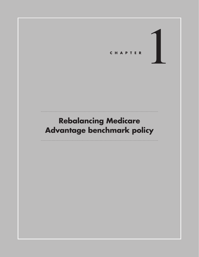**CHAPTER** 

# **Rebalancing Medicare Advantage benchmark policy**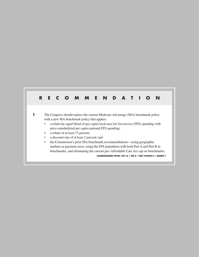# **RECOMMENDATION**

**1** The Congress should replace the current Medicare Advantage (MA) benchmark policy with a new MA benchmark policy that applies:

- a relatively equal blend of per capita local area fee-for-service (FFS) spending with price-standardized per capita national FFS spending;
- a rebate of at least 75 percent;
- a discount rate of at least 2 percent; and
- the Commission's prior MA benchmark recommendations—using geographic markets as payment areas, using the FFS population with both Part A and Part B in benchmarks, and eliminating the current pre–Affordable Care Act cap on benchmarks.

**COMMISSIONER VOTES: YES 16 • NO 0 • NOT VOTING 0 • ABSENT 1**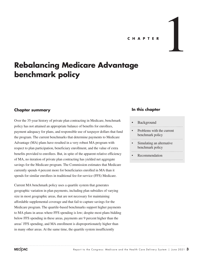# **C H A P T E R** 1

# **Rebalancing Medicare Advantage benchmark policy**

#### **Chapter summary**

Over the 35-year history of private plan contracting in Medicare, benchmark policy has not attained an appropriate balance of benefits for enrollees, payment adequacy for plans, and responsible use of taxpayer dollars that fund the program. The current benchmarks that determine payments to Medicare Advantage (MA) plans have resulted in a very robust MA program with respect to plan participation, beneficiary enrollment, and the value of extra benefits provided to enrollees. But, in spite of the apparent relative efficiency of MA, no iteration of private plan contracting has yielded net aggregate savings for the Medicare program. The Commission estimates that Medicare currently spends 4 percent more for beneficiaries enrolled in MA than it spends for similar enrollees in traditional fee-for-service (FFS) Medicare.

Current MA benchmark policy uses a quartile system that generates geographic variation in plan payments, including plan subsidies of varying size in most geographic areas, that are not necessary for maintaining affordable supplemental coverage and that fail to capture savings for the Medicare program. The quartile-based benchmarks support higher payments to MA plans in areas where FFS spending is low; despite most plans bidding below FFS spending in these areas, payments are 9 percent higher than the areas' FFS spending, and MA enrollment is disproportionately higher than in many other areas. At the same time, the quartile system insufficiently

#### **In this chapter**

#### **Background**

- Problems with the current benchmark policy
- Simulating an alternative benchmark policy
- **Recommendation**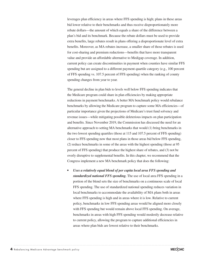leverages plan efficiency in areas where FFS spending is high; plans in these areas bid lower relative to their benchmarks and thus receive disproportionately more rebate dollars—the amount of which equals a share of the difference between a plan's bid and its benchmark. Because the rebate dollars must be used to provide extra benefits, large rebates result in plans offering a disproportionate level of extra benefits. Moreover, as MA rebates increase, a smaller share of those rebates is used for cost-sharing and premium reductions—benefits that have more transparent value and provide an affordable alternative to Medigap coverage. In addition, current policy can create discontinuities in payment when counties have similar FFS spending but are assigned to a different payment quartile category (e.g., 100 percent of FFS spending vs. 107.5 percent of FFS spending) when the ranking of county spending changes from year to year.

The general decline in plan bids to levels well below FFS spending indicates that the Medicare program could share in plan efficiencies by making appropriate reductions in payment benchmarks. A better MA benchmark policy would rebalance benchmarks by allowing the Medicare program to capture some MA efficiencies—of particular importance given the projections of Medicare's trust fund solvency and revenue issues—while mitigating possible deleterious impacts on plan participation and benefits. Since November 2019, the Commission has discussed the need for an alternative approach to setting MA benchmarks that would (1) bring benchmarks in the two lowest spending quartiles (those at 115 and 107.5 percent of FFS spending) closer to FFS spending now that most plans in those areas bid below FFS spending, (2) reduce benchmarks in some of the areas with the highest spending (those at 95 percent of FFS spending) that produce the highest share of rebates, and (3) not be overly disruptive to supplemental benefits. In this chapter, we recommend that the Congress implement a new MA benchmark policy that does the following:

*• Uses a relatively equal blend of per capita local area FFS spending and standardized national FFS spending.* The use of local area FFS spending in a portion of the blend sets the size of benchmarks on a continuous scale of local FFS spending. The use of standardized national spending reduces variation in local benchmarks to accommodate the availability of MA plans both in areas where FFS spending is high and in areas where it is low. Relative to current policy, benchmarks in low FFS spending areas would be aligned more closely with FFS spending but would remain above local FFS spending. On average, benchmarks in areas with high FFS spending would modestly decrease relative to current policy, allowing the program to capture additional efficiencies in areas where plan bids are lowest relative to their benchmarks.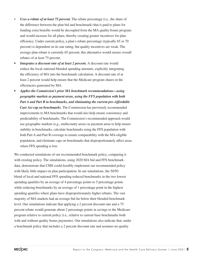- *Uses a rebate of at least 75 percent.* The rebate percentage (i.e., the share of the difference between the plan bid and benchmark) that is paid to plans for funding extra benefits would be decoupled from the MA quality bonus program and would increase for all plans, thereby creating greater incentives for plan efficiency. Under current policy, a plan's rebate percentage (typically 65 or 70 percent) is dependent on its star rating, but quality incentives are weak. The average plan rebate is currently 65 percent; this alternative would ensure overall rebates of at least 75 percent.
- *Integrates a discount rate of at least 2 percent.* A discount rate would reduce the local–national blended spending amounts, explicitly integrating the efficiency of MA into the benchmark calculation. A discount rate of at least 2 percent would help ensure that the Medicare program shares in the efficiencies generated by MA.
- *• Applies the Commission's prior MA benchmark recommendations—using geographic markets as payment areas, using the FFS population with both Part A and Part B in benchmarks, and eliminating the current pre–Affordable Care Act cap on benchmarks.* The Commission has previously recommended improvements to MA benchmarks that would also help ensure consistency and predictability of benchmarks. The Commission's recommended approach would use geographic markets (e.g., multicounty areas) as payment areas to help ensure stability in benchmarks, calculate benchmarks using the FFS population with both Part A and Part B coverage to ensure comparability with the MA-eligible population, and eliminate caps on benchmarks that disproportionately affect areas where FFS spending is low.

We conducted simulations of our recommended benchmark policy, comparing it with existing policy. The simulations, using 2020 MA bid and FFS benchmark data, demonstrate that CMS could feasibly implement our recommended policy with likely little impact on plan participation. In our simulations, the 50/50 blend of local and national FFS spending reduced benchmarks in the two lowest spending quartiles by an average of 4 percentage points to 5 percentage points while reducing benchmarks by an average of 1 percentage point in the highest spending quartiles where plans have disproportionately higher rebates. The vast majority of MA markets had an average bid far below their blended benchmark level. Our simulations indicate that applying a 2 percent discount rate and a 75 percent rebate would generate about 2 percentage points in savings to the Medicare program relative to current policy (i.e., relative to current base benchmarks both with and without quality bonus payments). Our simulations also indicate that, under a benchmark policy that includes a 2 percent discount rate and assumes no quality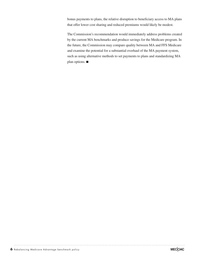bonus payments to plans, the relative disruption to beneficiary access to MA plans that offer lower cost sharing and reduced premiums would likely be modest.

The Commission's recommendation would immediately address problems created by the current MA benchmarks and produce savings for the Medicare program. In the future, the Commission may compare quality between MA and FFS Medicare and examine the potential for a substantial overhaul of the MA payment system, such as using alternative methods to set payments to plans and standardizing MA plan options. ■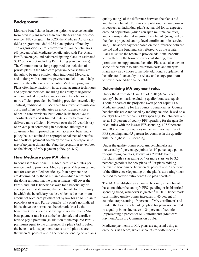# **Background**

Medicare beneficiaries have the option to receive benefits from private plans rather than from the traditional fee-forservice (FFS) program. In 2020, the Medicare Advantage (MA) program included 4,234 plan options offered by 185 organizations, enrolled over 24 million beneficiaries (43 percent of all Medicare beneficiaries with Part A and Part B coverage), and paid participating plans an estimated \$317 billion (not including Part D drug plan payments). The Commission has long supported the inclusion of private plans in the Medicare program because they are thought to be more efficient than traditional Medicare, and—along with alternative payment models—could help improve the efficiency of the entire Medicare program. Plans often have flexibility in care-management techniques and payment methods, including the ability to negotiate with individual providers, and can steer beneficiaries to more efficient providers by limiting provider networks. By contrast, traditional FFS Medicare has lower administrative costs and offers beneficiaries an unconstrained choice of health care providers, but it often lacks incentives to coordinate care and is limited in its ability to make care delivery more efficient. However, over the 35-year history of private plan contracting in Medicare, although risk adjustment has improved payment accuracy, benchmark policy has not attained an appropriate balance of benefits for enrollees, payment adequacy for plans, or responsible use of taxpayer dollars that fund the program (see text box on the history of MA payment policy, pp. 8–9).

#### **How Medicare pays MA plans**

In contrast to traditional FFS Medicare's fixed rates per service paid to providers, Medicare pays MA plans a fixed rate for each enrolled beneficiary. Plan payment rates are determined by the MA plan bid—which represents the dollar amount that the plan estimates will cover the Part A and Part B benefit package for a beneficiary of average health status—and the benchmark for the county in which the beneficiary resides, which is the maximum amount of Medicare payment set by law for an MA plan to provide Part A and Part B benefits. If a plan's normalized bid is above the normalized benchmark (that is, the benchmark for a person of average risk), the plan's MA base payment rate is set at the benchmark and enrollees have to pay a premium (in addition to the required Part B premium) equal to the difference. If a plan's bid is below the benchmark, its payment rate is its bid plus a share (between 50 percent and 70 percent, depending on a plan's

quality rating) of the difference between the plan's bid and the benchmark. For this computation, the comparison is between an individual plan's actual bid for its expected enrolled population (which can span multiple counties) and a plan-specific risk-adjusted benchmark (weighted by the plan's projected county-level enrollment in its service area). The added payment based on the difference between the bid and the benchmark is referred to as the rebate. Plans must use the rebate to provide additional benefits to enrollees in the form of lower cost sharing, lower premiums, or supplemental benefits. Plans can also devote some of the rebate to administration costs and margins. Plans may also choose to include additional supplemental benefits not financed by the rebate and charge premiums to cover those additional benefits.

#### **Determining MA payment rates**

Under the Affordable Care Act of 2010 (ACA), each county's benchmark, excluding quality bonuses, equals a certain share of the projected average per capita FFS Medicare spending for the county's beneficiaries. County benchmarks are established by ranking counties based on a county's level of per capita FFS spending. Benchmarks are set at 115 percent of county FFS spending for the quartile of counties with the lowest FFS spending, 107.5 percent and 100 percent for counties in the next two quartiles of FFS spending, and 95 percent for counties in the quartile with the highest FFS spending.

Under the quality bonus program, benchmarks are increased by 5 percentage points (or 10 percentage points for qualifying counties, known as a "double bonus") for plans with a star rating of 4 or more stars, or by 3.5 percentage points for new plans.1,2 For plans bidding below the benchmark, between 50 percent and 70 percent of the difference (depending on the plan's star rating) must be used to provide extra benefits to plan enrollees.

The ACA established a cap on each county's benchmark based on either the county's FFS spending or its historical spending trend, whichever is greater.<sup>3</sup> In 2016, benchmark caps limited quality bonus increases in 45 percent of counties (representing 19 percent of MA enrollment) and limited the base benchmark (applied for plans not entitled to a quality bonus increase) in 24 percent of counties (representing 6 percent of MA enrollment) (Medicare Payment Advisory Commission 2016).

Medicare payments to MA plans are adjusted using an enrollee's risk score, which accounts for differences in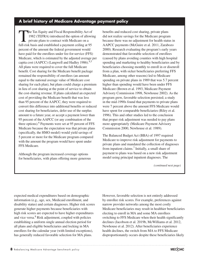## **A brief history of Medicare Advantage payment policy**

The Tax Equity and Fiscal Responsibility Act of 1982 (TEFRA) introduced the option of allowing private plans to contract with Medicare on a full-risk basis and established a payment ceiling at 95 percent of the amount the federal government would have paid for the enrollees under fee-for-service (FFS) Medicare, which is estimated by the adjusted average per capita cost (AAPCC) (Langwell and Hadley 1986).<sup>4,5</sup> All plans were required to cover the full Medicare benefit. Cost sharing for the Medicare benefit package remained the responsibility of enrollees (an amount equal to the national average value of Medicare cost sharing for each plan), but plans could charge a premium in lieu of cost sharing at the point of service to obtain the cost-sharing revenue. If plans calculated an expected cost of providing the Medicare benefit that was less than 95 percent of the AAPCC, they were required to convert this difference into additional benefits or reduced cost sharing for beneficiaries, defer use of the surplus amount to a future year, or accept a payment lower than 95 percent of the AAPCC (or any combination of the three options).<sup>6</sup> Payments were set at 95 percent of FFS Medicare because the expectation was that private plans (specifically, the HMO model) would yield savings of 5 percent or more for the Medicare program compared with the amount the program would have spent under FFS Medicare.

Although the program increased coverage options for beneficiaries, with plans offering more generous benefits and reduced cost sharing, private plans did not realize savings for the Medicare program because there was no adjustment for health status in AAPCC payments (McGuire et al. 2011, Zarabozo 2000). Research evaluating the program's early years demonstrated that favorable selection of enrollees (caused by plans avoiding counties with high hospital spending and marketing to healthy beneficiaries and by beneficiaries choosing monthly to enroll in or disenroll from a plan, with sicker beneficiaries preferring FFS Medicare, among other reasons) led to Medicare spending on private plans in 1989 that was 5.7 percent higher than spending would have been under FFS Medicare (Brown et al. 1993, Medicare Payment Advisory Commission 1998, Newhouse 2002). As the program grew, favorable selection persisted; a study in the mid-1990s found that payments to private plans were 7 percent above the amount FFS Medicare would have spent for comparable beneficiaries (Riley et al. 1996). This and other studies led to the conclusion that proper risk adjustment was needed to pay plans more appropriately (Medicare Payment Advisory Commission 2000, Newhouse et al. 1989).

The Balanced Budget Act (BBA) of 1997 required Medicare to improve risk adjustment for payments to private plans and mandated the collection of diagnoses from inpatient claims.<sup>7</sup> Initially, a small share of payment to plans was based on a new risk adjustment model using principal inpatient diagnoses. The

*(continued next page)*

expected medical expenditures based on demographic information (e.g., age, sex, Medicaid enrollment, and disability status) and certain diagnoses. Higher risk scores generate higher payments because beneficiaries with high risk scores are expected to have higher expenditures and vice versa.<sup>8</sup> Risk adjustment, coupled with policies establishing a uniform single annual election period for all plans and eligible beneficiaries and locking in MA enrollees for the calendar year (with limited exceptions), has generally reduced favorable selection for MA plans.

However, favorable selection is not entirely addressed by enrollee risk scores. For example, preferences against narrow provider networks among the most costly Medicare beneficiaries may result in healthier beneficiaries electing to enroll in MA and some MA enrollees switching to FFS Medicare when their health significantly declines (Jacobson et al. 2019b, McWilliams et al. 2012, Newhouse et al. 2012). After beneficiaries experience health declines, the switch from MA to FFS Medicare disproportionately occurs despite these beneficiaries likely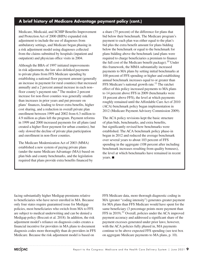## **A brief history of Medicare Advantage payment policy (cont.)**

Medicare, Medicaid, and SCHIP Benefits Improvement and Protection Act of 2000 (BIPA) expanded risk adjustment to include the use of diagnoses from ambulatory settings, and Medicare began phasing in a risk adjustment model using diagnoses collected from the claims submitted by hospitals (inpatient and outpatient) and physician office visits in 2004.

Although the BBA of 1997 initiated improvements in risk adjustment, the law also delinked payments to private plans from FFS Medicare spending by establishing a national floor payment amount (generally an increase in payment for rural counties) that increased annually and a 2 percent annual increase in each non– floor county's payment rate.<sup>9</sup> The modest 2 percent increase for non-floor counties was generally smaller than increases in prior years and put pressure on plans' finances, leading to fewer extra benefits, higher cost sharing, and a reduction in overall private plan enrollment between 1999 and 2002 from 6.3 million to 4.9 million as plans left the program. Payment reforms in 1999 and 2000 increased payments for all plans (and created a higher floor payment for urban counties), but only slowed the decline of private plan participation and enrollment in non-floor counties.

The Medicare Modernization Act of 2003 (MMA) established a new system of paying private plans (under the name Medicare Advantage (MA)) based on plan bids and county benchmarks, and the legislation required that plans provide extra benefits financed by

a share (75 percent) of the difference for plans that bid below their benchmark. The Medicare program's payment to each plan was either equal to the plan's bid plus the extra benefit amount for plans bidding below the benchmark or equal to the benchmark for plans bidding above the benchmark (and plans were required to charge beneficiaries a premium to finance the full cost of the Medicare benefit package).<sup>10</sup> Under this framework, the MMA substantially increased payments to MA plans by setting initial benchmarks at 100 percent of FFS spending or higher and establishing annual benchmark increases equal to or greater than FFS Medicare's national growth rate.<sup>11</sup> The ratchet effect of this policy increased payments to MA plans to 14 percent above FFS in 2009 (benchmarks were 18 percent above FFS), the level at which payments roughly remained until the Affordable Care Act of 2010 (ACA) benchmark policy began implementation in 2012 (Medicare Payment Advisory Commission 2009).

The ACA policy revisions kept the basic structure of plan bids, benchmarks, and extra benefits, but significantly revised how benchmarks were established. The ACA benchmark policy phase-in began in 2012 and reduced the average benchmark over several years to about 103 percent of FFS spending in the aggregate (108 percent after including benchmark increases resulting from quality bonuses), the level at which benchmarks have remained in recent years. ■

facing substantially higher Medigap premiums relative to beneficiaries who have never enrolled in MA. Because only four states require guaranteed issue for Medigap policies, most beneficiaries who switch from MA to FFS are subject to medical underwriting and can be denied a Medigap policy (Boccuti et al. 2018). In addition, the risk adjustment model's reliance on diagnosis codes creates a financial incentive for providers in MA plans to document diagnosis codes more thoroughly than do providers in FFS Medicare. Because the risk adjustment model is based on

FFS Medicare data, more thorough diagnostic coding in MA (greater "coding intensity") generates greater payment for MA plans than FFS Medicare would have spent for the same beneficiary (3 percentage points more payment than FFS in 2019).<sup>12</sup> Overall, policies under the ACA improved payment accuracy and addressed a significant share of the payment excesses generated under prior laws; however, with the ACA policies fully phased in, MA payments continue to be above expected FFS spending (see text box on aggregate Medicare payments to MA plans, p. 10).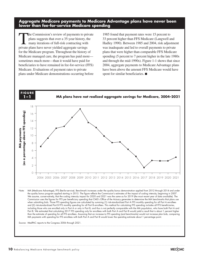**Aggregate Medicare payments to Medicare Advantage plans have never been lower than fee-for-service Medicare spending**

The Commission's review of payments to private<br>plans suggests that over a 35-year history, the<br>many iterations of full-risk contracting with plans suggests that over a 35-year history, the many iterations of full-risk contracting with private plans have never yielded aggregate savings for the Medicare program. Throughout the history of Medicare managed care, the program has paid more sometimes much more—than it would have paid for beneficiaries to have remained in fee-for-service (FFS) Medicare. Evaluations of payment rates to private plans under Medicare demonstrations occurring before

1985 found that payment rates were 15 percent to 33 percent higher than FFS Medicare (Langwell and Hadley 1990). Between 1985 and 2004, risk adjustment was inadequate and led to overall payments to private plans that were higher than comparable FFS Medicare spending (5 percent to 7 percent higher in the late 1980s and through the mid-1990s). Figure 1-1 shows that since 2004, aggregate payments to Medicare Advantage plans have been above the amount FFS Medicare would have spent for similar beneficiaries. ■



Source: MedPAC reports to the Congress 2006 through 2021. Source:

**Notes about this graph:**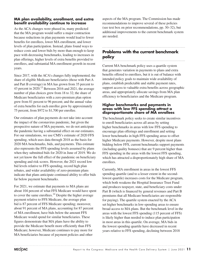#### **MA plan availability, enrollment, and extra benefit availability continue to increase**

As the ACA changes were phased in, many predicted that the MA program would suffer a major contraction because reductions in plan payments would lead to fewer benefits for enrollees, lower MA enrollment, and lower levels of plan participation. Instead, plans found ways to reduce costs and lower bids by more than enough to keep pace with decreasing benchmarks, leading to increases in plan offerings, higher levels of extra benefits provided to enrollees, and substantial MA enrollment growth in recent years.

Since 2017, with the ACA's changes fully implemented, the share of eligible Medicare beneficiaries (those with Part A and Part B coverage) in MA has grown from 35 percent to 43 percent in  $2020$ .<sup>13</sup> Between 2016 and 2021, the average number of plan choices grew from 18 to 32; the share of Medicare beneficiaries with a zero-premium plan option grew from 81 percent to 96 percent; and the annual value of extra benefits for each enrollee grew by approximately 75 percent, from \$972 to \$1,700 per enrollee.

Our estimates of plan payments do not take into account the impact of the coronavirus pandemic, but given the prospective nature of MA payments, we do not anticipate the pandemic having a substantial effect on our estimates. For our simulations, we use CMS's estimate of 2020 FFS spending, which uses data through 2018 as the basis for 2020 MA benchmarks, bids, and payments. This estimate also represents the FFS spending levels assumed by plans when they submitted bids for 2020 in June of 2019. We do not yet know the full effect of the pandemic on beneficiary spending and risk scores. However, the 2021 record low bid levels relative to FFS spending, record high plan rebates, and wider availability of zero-premium plans indicate that plans anticipate continued ability to offer bids far below payment benchmarks.

For 2021, we estimate that payments to MA plans are about 104 percent of what FFS Medicare would have spent to cover the same enrollees.<sup>14</sup> Despite the higher average payment relative to FFS Medicare, the average plan bid is 87 percent of FFS Medicare spending; moreover, about 91 percent of MA plans, accounting for 87 percent of MA enrollment, have bids below the amount FFS Medicare would spend for similar beneficiaries. These figures demonstrate that MA plans have the ability to provide the Medicare benefit more efficiently than FFS Medicare; however, Medicare continues to pay more for MA beneficiaries because of payment policies and other

aspects of the MA program. The Commission has made recommendations to improve several of these policies (see text box on prior recommendations, pp. 30–32), but additional improvements to the current benchmark system are needed.

#### **Problems with the current benchmark policy**

Current MA benchmark policy uses a quartile system that generates variation in payments to plans and extra benefits offered to enrollees, but it is out of balance with intended policy goals to maintain wide availability of plans, establish predictable and stable payment rates, support access to valuable extra benefits across geographic areas, and appropriately allocate savings from MA plan efficiency to beneficiaries and the Medicare program.

#### **Higher benchmarks and payments in areas with low FFS spending attract a disproportionate share of MA enrollees**

The benchmark policy seeks to create similar incentives to enroll beneficiaries across all areas by setting higher benchmarks in areas with low FFS spending to encourage plan offerings and enrollment and setting lower benchmarks in high FFS spending areas to offset higher Medicare payments. However, despite most plans bidding below FFS, current benchmarks support payments (including quality bonuses) that are 9 percent higher than FFS spending in the areas with the lowest FFS spending, which has attracted a disproportionately high share of MA enrollees.

Currently, MA enrollment in areas in the lowest FFS spending quartile (and to a lesser extent in the secondlowest quartile) increases costs for the Medicare program, which both weakens the Hospital Insurance Trust Fund and produces taxpayer, state, and beneficiary costs under Part B (which is financed by general revenues and Part B premiums that all Medicare beneficiaries are responsible for paying). The quartile system enacted by the ACA set higher benchmarks in low-spending areas to ensure broad access to MA plans. But the benchmark level in the areas with the lowest FFS spending (115 percent of FFS) is likely higher than needed to induce plan participation in most areas in this quartile. On average, MA bids in the lowest spending quartile have decreased in recent years relative to FFS spending, declining between 2018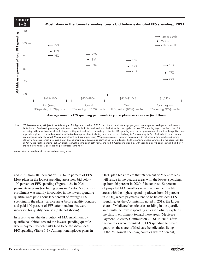



Note: FFS (fee-for-service), MA (Medicare Advantage). This figure is based on 3,797 plan bids and excludes employer group plans, special needs plans, and plans in the territories. Benchmark percentages within each quartile indicate benchmark quartile factors that are applied to local FFS spending (e.g., counties in the 115 percent quartile have base benchmarks 15 percent higher than local FFS spending). Estimated FFS spending levels in the figure are not affected by the quality bonus payments to plans. FFS spending uses the entire Medicare population (including those who are enrolled only in Part A or only in Part B), standardizes for average risk, geographically aligns with MA plan enrollment, and risk adjusts using MA plan risk scores. However, percentages do not account for unaddressed coding intensity differences, which increased overall MA payments by 3 percentage points in 2019. In addition, the FFS spending denominator used in the figure includes all Part A and Part B spending, but MA enrollees must be enrolled in both Part A and Part B. Comparing plan bids with spending for FFS enrollees with both Part A Note: Note and Source are in InDesign. and Part B would likely decrease the percentages in the figure.

Source: MedPAC analysis of MA bid and rate data, 2021. Source:

and 2021 from 101 percent of FFS to 95 percent of FFS. 2021, plan bi Most plans in the lowest spending areas now bid below will reside in the qua 100 percent of FFS spending (Figure 1-2). In 2021, From percent of FFS spending (Figure 1-2). In 2021, payments to plans (excluding plans in Puerto Rico) whose enrollment was mainly in counties in the lowest spending quartile were paid about 105 percent of average FFS in 2020), where payment spending in the plans' service areas before quality bonuses and paid 109 percent of FFS after benchmarks were increased for quality bonuses (data not shown).

In recent years, the distribution of MA enrollment by quartile has shifted toward the lowest spending quartile where payment benchmarks tend to be far above local FFS spending (Table 1-1). Among nonemployer plans in  $\frac{1}{2}$  by the styles (and object styles) to format.

2021, plan bids project that 28 percent of MA enrollees will reside in the quartile areas with the lowest spending, up from 26 percent in 2020.<sup>15</sup> In contrast, 22 percent of projected MA enrollees now reside in the quartile ent was mainly in counties in the lowest spending areas with the highest spending (down from 24 percent in 2020), where payments tend to be below local FFS spending. As the Commission noted in 2018, the larger of the medicare of Medicare beneficiaries residing in the quartile in 1970, the hager<br>109 percent of FFS after benchmarks were share of Medicare beneficiaries residing in the quartile areas with the lowest spending at least partially explains the shift in enrollment toward these areas (Medicare Payment Advisory Commission 2018). In 2018, after the counties were reranked by FFS spending to create quartiles, the share of Medicare beneficiaries living in the 786 lowest spending counties was 22 percent,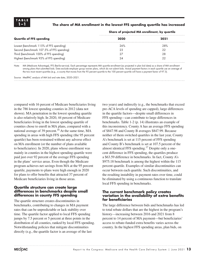#### **1–1 The share of MA enrollment in the lowest FFS spending quartile has increased**

| 2020 | 2021 |
|------|------|
| 26%  | 28%  |
| 23   | 22   |
|      | 28   |
| 24   |      |
|      |      |

**Share of projected MA enrollment, by quartile**

Note: MA (Medicare Advantage), FFS (fee-for-service). Each percentage represents MA quartile enrollment (as projected in plan bid data) as a share of MA enrollment among plans that submitted bids. Data exclude employer group waiver plans, which do not submit bids. Actual payment factors in each quartile use an average of the two most recent quartiles (e.g., a county that moves from the 95 percent quartile to the 100 percent quartile will have a payment factor of 97.5).

Source: MedPAC analysis of MA bid and rate data, 2020–2021.

compared with 16 percent of Medicare beneficiaries living in the 786 lowest spending counties in 2012 (data not shown). MA penetration in the lowest spending quartile is also relatively high. In 2020, 44 percent of Medicare beneficiaries living in the lowest spending quartile of counties chose to enroll in MA plans, compared with a national average of 39 percent.<sup>16</sup> At the same time, MA spending in areas with high FFS spending (the 95 percent quartile) has been restrained without any adverse effect on MA enrollment (or the number of plans available to beneficiaries). In 2020, plans whose enrollment was mainly in counties in the highest spending quartile were paid just over 92 percent of the average FFS spending in the plans' service areas. Even though the Medicare program achieves net savings from MA at the 95 percent quartile, payments to plans were high enough in 2020 for plans to offer benefits that attracted 37 percent of Medicare beneficiaries living in those areas.

#### **Quartile structure can create large differences in benchmarks despite small differences in county FFS spending**

The quartile structure creates discontinuities in benchmarks, contributing to changes in MA payment rates that can be unpredictable or lack stability over time. The quartile factor applied to local FFS spending jumps by 7.5 percent or 5 percent at three points in the distribution of all counties, ranked by local FFS spending. Notwithstanding policies that mitigate discontinuities directly (e.g., the quartile factor is an average of the last

two years) and indirectly (e.g., the benchmarks that exceed pre-ACA levels of spending are capped), large differences in the quartile factors—despite small differences in FFS spending—can contribute to large differences in benchmarks. Table 1-2 (p. 14) illustrates an example of this inconsistency. County A has an average FFS spending of \$847.98 and County B averages \$847.99. Because neither of them switched quartiles in the last year, County A's benchmark is set at 115 percent of FFS spending and County B's benchmark is set at 107.5 percent of the almost identical FFS spending.17 Despite only a onecent difference in FFS spending, the quartiles produce a \$63.59 difference in benchmarks. In fact, County A's \$975.18 benchmark is among the highest within the 115 percent quartile. Examples of similar discontinuities can occur between each quartile. Such discontinuities, and the resulting instability in payment rates over time, could be eliminated by using a continuous function to translate local FFS spending in benchmarks.

#### **The current benchmark policy creates variation in the availability of extra benefits for beneficiaries**

The large difference between bids and benchmarks has led to total rebate dollars that are the highest in the program's history—increasing between 2016 and 2021 from 8 percent to 14 percent of MA payment—but beneficiaries' access to rebate-funded extra benefits varies across the country. In the highest FFS spending areas, plan bids, on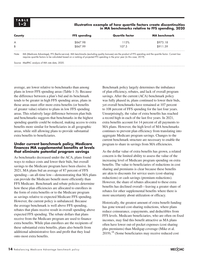#### **1–2 Illustrative example of how quartile factors create discontinuities in MA benchmarks relative to FFS spending, 2020**

| County | <b>FFS spending</b> | Quartile factor | <b>MA</b> benchmark |
|--------|---------------------|-----------------|---------------------|
| A      | \$847.98            | 15%             | \$975.18            |
| B      | \$847.99            | 107.5           | \$911.59            |

Note: MA (Medicare Advantage), FFS (fee-for-service). MA benchmarks (excluding quality bonuses) are the product of FFS spending and the quartile factor. Current law requires quartile factors to be calculated based on a ranking of projected FFS spending in the prior year (in this case, 2019).

Source: MedPAC analysis of MA rate data, 2020.

average, are lower relative to benchmarks than among plans in lower FFS spending areas (Table 1-3). Because the difference between a plan's bid and its benchmark tends to be greater in high FFS spending areas, plans in those areas must offer more extra benefits (or benefits of greater value) relative to plans in low FFS spending areas. This relatively large difference between plan bids and benchmarks suggests that benchmarks in the highest spending quartile could be reduced, making access to extra benefits more similar for beneficiaries in all geographic areas, while still allowing plans to provide substantial extra benefits to beneficiaries.

#### **Under current benchmark policy, Medicare finances MA supplemental benefits at levels that eliminate potential program savings**

As benchmarks decreased under the ACA, plans found ways to reduce costs and lower their bids, but overall savings to the Medicare program have been elusive. In 2021, MA plans bid an average of 87 percent of FFS spending—an all-time low—demonstrating that MA plans can provide the Medicare benefit more efficiently than FFS Medicare. Benchmark and rebate policies determine how these plan efficiencies are allocated to enrollees in the form of extra benefits or to the Medicare program as savings relative to expected Medicare FFS spending. However, the current policy is unbalanced. Because the average benchmark is well above FFS spending, rebates that plans receive result in overall spending above expected FFS spending. The rebate dollars that plans receive from the Medicare program are used to finance extra benefits. While plan enrollees are the recipients of these substantial extra benefits, plans also benefit from additional administrative fees and profit that they load onto most extra benefits.

Benchmark policy largely determines the imbalance of plan efficiency, rebates, and lack of overall program savings. After the current (ACA) benchmark policy was fully phased in, plans continued to lower their bids, yet overall benchmarks have remained at 107 percent to 108 percent of FFS spending for the last four years. Unsurprisingly, the value of extra benefits has reached a record high in each of the last five years. In 2021, extra benefits account for 14 percent of all payments to MA plans. However, the high level of MA benchmarks continues to prevent plan efficiency from translating into aggregate Medicare program savings. Changes to the current benchmark structure are necessary to enable the program to share in savings from MA efficiencies.

As the dollar value of extra benefits has grown, a related concern is the limited ability to assess the value of the increasing level of Medicare program spending on extra benefits. The value to beneficiaries of reductions in cost sharing and premiums is clear because these benefits are akin to discounts for service users (cost-sharing reductions) or cash savings (premium reductions). However, the share of rebates allocated to these extra benefits has declined overall—leaving a greater share of rebates for other supplemental benefits where there is more uncertainty about utilization or efficacy.

Historically, the greatest amount of extra benefit funding has gone toward cost-sharing reductions, where plans reduce coinsurance, copayments, and deductibles from FFS levels. Medicare beneficiaries, who are often on fixed incomes, may find this benefit attractive as MA plans often have lower out-of-pocket expenses (cost sharing plus premiums) than Medigap coverage (Mike et al. 2019).18 (Some beneficiaries may receive reduced cost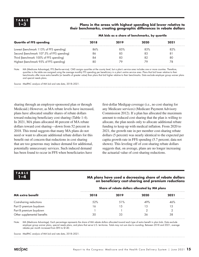#### **1–3 Plans in the areas with highest spending bid lower relative to their benchmarks, creating geographic differences in rebate dollars**

| 2018 | 2019 | 2020 | 2021 |  |  |
|------|------|------|------|--|--|
| 86%  | 8.5% | 83%  | 82%  |  |  |
| 86   | 85   | 83   | 81   |  |  |
| 84   | 83   | 82   | 80   |  |  |
| 80   | 79   |      | 78   |  |  |
|      |      |      |      |  |  |

**MA bids as a share of benchmarks, by quartile**

Note: MA (Medicare Advantage), FFS (fee-for-service). CMS assigns quartiles at the county level, but a plan's service area includes one or more counties. Therefore, quartiles in the table are assigned using the average monthly FFS spending per beneficiary in a plan's entire service area. Plans that bid lower relative to their benchmarks offer more extra benefits (or benefits of greater value) than plans that bid higher relative to their benchmarks. Data exclude employer group waiver plans and special needs plans.

Source: MedPAC analysis of MA bid and rate data, 2018–2021.

sharing through an employer-sponsored plan or through Medicaid.) However, as MA rebate levels have increased, plans have allocated smaller shares of rebate dollars toward reducing beneficiary cost sharing (Table 1-4). In 2021, MA plans allocated 46 percent of MA rebate dollars toward cost sharing—down from 52 percent in 2018. This trend suggests that many MA plans do not need or want to allocate additional rebate dollars for this benefit out of concern that reductions in cost sharing that are too generous may induce demand for additional, potentially unnecessary services. Such induced demand has been found to occur in FFS when beneficiaries have

first-dollar Medigap coverage (i.e., no cost sharing for any Medicare services) (Medicare Payment Advisory Commission 2012). If a plan has allocated the maximum amount to reduced cost sharing that the plan is willing to allocate, the plan needs only to allocate additional rebate funding to keep up with medical inflation. From 2020 to 2021, the growth rate in per member cost-sharing rebate dollars (5 percent) was nearly identical to the expected per capita growth rate in FFS spending (5.7 percent; data not shown). This leveling off of cost-sharing rebate dollars suggests that, on average, plans are no longer increasing the actuarial value of cost-sharing reductions.

**TABLE**

#### **1–4 MA plans have used a decreasing share of rebate dollars on beneficiary cost-sharing and premium reductions**

| MA extra benefit            | Share of rebate dollars allocated by MA plans |         |      |      |  |  |
|-----------------------------|-----------------------------------------------|---------|------|------|--|--|
|                             | 2018                                          | 2019    | 2020 | 2021 |  |  |
| Cost-sharing reductions     | .52%                                          | $.51\%$ | 49%  | 46%  |  |  |
| Part D premium buydown      |                                               |         |      |      |  |  |
| Part B premium buydown      |                                               |         |      |      |  |  |
| Other supplemental benefits | 30                                            | 33      | 36   | 38   |  |  |

Note: MA (Medicare Advantage). Each percentage represents the share of MA rebate dollars allocated toward each type of extra benefit in plan bids. Data exclude employer group waiver plans, special needs plans, and plans that serve U.S. territories. Totals may not sum due to rounding. Between 2018 and 2021, average rebates per month increased from \$95 to \$140.

Source: MedPAC analysis of MA bid and rate data, 2018–2021.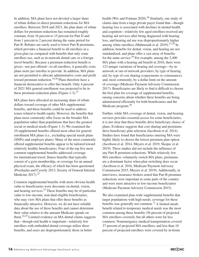In addition, MA plans have not devoted a larger share of rebate dollars to direct premium reductions for MA enrollees. Between 2018 and 2021, the plan share of rebate dollars for premium reductions has remained roughly constant, from 16 percent to 15 percent for Part D and from 1 percent to 2 percent during the same period for Part B. Rebates are rarely used to lower Part B premiums, which provides a financial benefit to all enrollees in a given plan (as compared with benefits that only some enrollees use, such as in-network dental care or a foreign travel benefit). Because a premium-reduction benefit is given—not just offered—to all enrollees, it generally costs plans more per enrollee to provide. In addition, MA plans are not permitted to allocate administrative costs and profit toward premium reduction.<sup>19,20</sup> Plans therefore have a financial disincentive to offer this benefit. Only 4 percent of 2021 MA general enrollment was projected to be in these premium-reduction plans (Figure 1-3).<sup>21</sup>

MA plans have allocated an increasing share of rebate dollars toward coverage of other MA supplemental benefits, and these benefits could be used to address issues related to health equity. However, the benefits that plans most commonly offer focus on the broader MA population rather than populations that have the greatest social or medical needs (Figure 1-3). We examined the 10 supplemental benefits offered most often for general enrollment MA plans (i.e., excluding special needs plans (SNPs) and employer plans). Many of the most commonly offered supplemental benefits appear to be tailored toward relatively healthy beneficiaries. Four of the top five most common supplemental benefits addressed coverage for international travel, fitness benefits that typically consist of a gym membership, or coverage for an annual physical exam, the efficacy of which has been questioned (Prochazka and Caverly 2013, Society of General Internal Medicine  $2017$ ).<sup>22</sup>

Common supplemental benefits with more obvious health value to beneficiaries were discounts on dental, vision, and hearing services.<sup>23</sup> These benefits may be of particular value to low-income, non-dual-eligible beneficiaries, who may view MA plans that offer these benefits as financially attractive. However, we do not have reliable data about the use of these benefits and cannot determine their value relative to the amount Medicare spends on them.<sup>24,25</sup> Limited evidence on MA dental claims suggests that—though oral health is important—relatively few enrollees with embedded dental coverage utilize these benefits, and users are disproportionately those in better

health (Wix and Fontana 2020).<sup>26</sup> Similarly, one study of claims data from a large private payer found that—though hearing loss is associated with declines in mental health and cognition—relatively few aged enrollees received any hearing aid services after being diagnosed with hearing loss, and hearing aid use was disproportionately higher among white enrollees (Mahmoudi et al. 2019).<sup>27,28</sup> In addition, benefits for dental, vision, and hearing are not standardized, and plans offer a vast array of benefits for the same service.<sup>29</sup> For example, among the  $2,400$ MA plans with a hearing aid benefit in 2016, there were 123 unique variations of hearing aid coverage—by innetwork or out-of-network providers; by type of hearing aid; by type of cost sharing (copayments or coinsurance); and, most commonly, by a dollar limit on the amount of coverage (Medicare Payment Advisory Commission 2017). Beneficiaries are likely to find it difficult to choose the best plan for coverage of supplemental benefits, raising concerns about whether these benefits are being administered efficiently for both beneficiaries and the Medicare program.<sup>30</sup>

Further, while MA coverage of dental, vision, and hearing services provides essential access for some beneficiaries, it is not clear that these benefits drive beneficiary choice of plans. Evidence suggests that cost sharing and premiums drive beneficiary plan selection (Jacobson et al. 2014). Studies have found that beneficiaries entering MA were highly likely to choose the lowest premium plan option (Jacobson et al. 2014, Meyers et al. 2019, Skopec et al. 2019). These studies did not include the influence of any Part B premium reductions. While relatively few MA enrollees voluntarily switch MA plans, premiums are a dominant factor when plan switching does occur (Jacobson et al. 2016, Medicare Payment Advisory Commission 2015, Meyers et al. 2019). Additionally, in interviews, insurance brokers noted that Part B premium reductions were important in some parts of the country and were most attractive to low-income beneficiaries (Medicare Payment Advisory Commission 2015).

We also examined plan-wide supplemental benefits that target populations with high needs; coverage for these benefits was generally not common.<sup>31</sup> A limited meals benefit related to temporary medical needs was the most common among these benefits (56 percent of projected MA enrollees covered), but all others were far less common. Nonemergency medical transportation covered 37 percent of projected MA enrollees, and less than 10 percent of projected enrollees were covered by in-home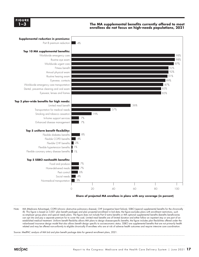

#### **The MA supplemental benefits currently offered to most enrollees do not focus on high-needs populations, 2021 Medicare margins.... FIGURE**



Note: MA (Medicare Advantage), COPD (chronic obstructive pulmonary disease), CHF (congestive heart failure), SSBCI (special supplemental benefits for the chronically ill). This figure is based on 3,821 plan benefit packages and plan projected enrollment in bid data; the figure excludes plans with enrollment restrictions, such as employer group plans and special needs plans. The figure does not include Part D extra benefits or MA optional supplemental benefits (benefits beneficiaries can opt into and pay a separate premium for to cover the cost). Limited meal benefits are of limited duration and either follow an inpatient stay or are part of an established medical treatment. Uniform benefit flexibility allows MA plans to design disease-specific benefits; the figure includes plan flexibilities offered under the value-based insurance design model that also allows benefit design specific to socioeconomic status. SSBCI are supplemental benefits that are not primarily health related and may be offered non-uniformly to eligible chronically ill enrollees who are at risk of adverse health outcomes and require intensive care coordination.

Source: MedPAC analysis of MA bid and plan benefit package data for general enrollment plans, 2021.

• Data is in the datasheet. Make updates in the datasheet.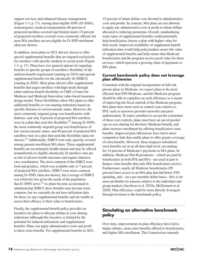support services and enhanced disease management (Figure 1-3, p. 17). Among dual-eligible SNPs (D–SNPs), nonemergency medical transportation (86 percent of projected enrollees covered) and limited meals (74 percent of projected enrollees covered) were commonly offered, but most MA enrollees are not eligible for D–SNP enrollment (data not shown).

In addition, most plans in 2021 did not choose to offer special supplemental benefits that are targeted exclusively for enrollees with specific medical or social needs (Figure 1-3, p. 17). Plans have two general options for targeting benefits to specific groups of enrollees: flexibility of the uniform benefit requirement (starting in 2019) and special supplemental benefits for the chronically ill (SSBCI) (starting in 2020). Most plans did not offer supplemental benefits that target enrollees with high needs through either uniform benefit flexibility or CMS's Center for Medicare and Medicaid Innovation value-based insurance design model. These flexibilities allow MA plans to offer additional benefits or cost-sharing reductions based on specific diseases or socioeconomic status. However, the most commonly targeted group was beneficiaries with diabetes, and only 8 percent of projected MA enrollees were in a plan that used this flexibility.<sup>32</sup> Among D–SNPs, the most commonly targeted group was beneficiaries of low socioeconomic status, and 40 percent of projected MA enrollees were in a plan that used this flexibility (data not shown).<sup>33</sup> Additionally, SSBCI were only sparsely covered among general enrollment MA plans. These supplemental benefits are not primarily health related and may be offered nonuniformly to eligible chronically ill enrollees who are at risk of adverse health outcomes and require intensive care coordination. The most common of the SSBCI were food and produce, which was available only to 7 percent of projected MA enrollees. SSBCI were more common among D–SNPs (data not shown), but coverage of SSBCI was relatively low given the needs of the population that D–SNPs serve.  $34$  As plans become accustomed to administering SSBCI, these benefits may become more common, but we currently do not have utilization data for these (or any) supplemental benefits and are unable to assess their efficacy or their value to beneficiaries.

Finally, the supplemental benefit policy provides an incentive for plans to allocate rebates to cost-sharing reductions (although this incentive is limited by the potential for induced utilization) and supplemental benefits. Plans can apply administrative costs and profit to these extra benefits. For supplemental benefits in 2021,

15 percent of rebate dollars was devoted to administrative costs and profits. In contrast, MA plans are not allowed to apply any administrative cost or profit to rebate dollars allocated to reducing premiums. Overall, standardizing some types of supplemental benefits could potentially help beneficiaries choose a plan with higher value for their needs. Improved availability of supplement benefit utilization data would help policymakers assess the value of supplemental benefits and help ensure that Medicare beneficiaries and the program receive good value for these services, which represent a growing share of payments to MA plans.

#### **Current benchmark policy does not leverage plan efficiencies**

Consistent with the original incorporation of full-risk private plans in Medicare, we expect plans to be more efficient than FFS Medicare, and the Medicare program should be able to capitalize on such efficiency as a means of improving the fiscal outlook of the Medicare program. MA plans have more tools to control costs relative to FFS, such as narrower provider networks and prior authorization. To entice enrollees to accept the constraints of these cost controls, plans must have an out-of-pocket cap on cost sharing for the basic Medicare benefit, and plans increase enrollment by offering beneficiaries extra benefits. Improved plan efficiencies have led to more competitive bids that enable plans to offer greater coverage of extra benefits. However, these taxpayer-subsidized extra benefits are at an all-time high level, accounting for 14 percent of Medicare's payments to MA plans. In addition, Medicare Part B premiums—which are paid by beneficiaries in both FFS and MA—are used in part to finance extra benefits that only MA beneficiaries receive. Furthermore, nearly all Medicare beneficiaries (99 percent) have access to an MA plan that bid below FFS spending, and—on a per member dollar basis—MA is far more profitable for insurers relative to the individual and group markets (Jacobson et al. 2019a, McDermott et al. 2020). Plan efficiency could be more directly leveraged through revisions to the benchmark policy.

#### **Simulating an alternative benchmark policy**

Over time, improvements in plan efficiency have led to higher rebates, more extra benefits offered to beneficiaries, and higher MA enrollment. The Commission contends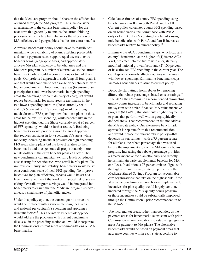that the Medicare program should share in the efficiencies obtained through the MA program. Thus, we consider an alternative to the current benchmark policy for the near term that generally maintains the current bidding processes and structure but rebalances the allocation of MA efficiency and geographic subsidies for extra benefits.

A revised benchmark policy should have four attributes: maintain wide availability of plans, establish predictable and stable payment rates, support equal access to extra benefits across geographic areas, and appropriately allocate MA plan efficiency to beneficiaries and the Medicare program. A number of alternatives to the current benchmark policy could accomplish one or two of these goals. Our preferred approach to satisfying all four goals is one that would continue to set a range of benchmarks, with higher benchmarks in low-spending areas (to ensure plan participation) and lower benchmarks in high-spending areas (to encourage efficient delivery of care), but would reduce benchmarks for most areas. Benchmarks in the two lowest spending quartiles (those currently set at 115 and 107.5 percent of FFS spending) would be brought much closer to FFS spending now that most plans in those areas bid below FFS spending, while benchmarks in the highest spending quartile (those currently set at 95 percent of FFS spending) would be further reduced. Reducing benchmarks would provide a more balanced approach that reduces subsidies in low-spending FFS areas while modestly increasing financial pressure on high-spending FFS areas where plans bid the lowest relative to their benchmarks and thus generate disproportionately more rebate dollars in the extra benefits plans can offer. The new benchmarks can maintain existing levels of reduced cost sharing for beneficiaries who enroll in MA plans. To improve continuity and stability, benchmarks would be set on a continuous scale of local FFS spending. To improve incentives for plan efficiency, rebates would be set at a level more reflective of the level of financial risk plans are taking. Overall, program savings would be integrated into benchmarks to ensure that the Medicare program receives at least a small share of plan efficiencies.

Under this policy option, the current quartile structure would be replaced with a system blending local area and national per capita FFS spending and applying a discount factor.<sup>35</sup> This alternative benchmark approach would address the problems with current benchmarks discussed in the preceding section and would incorporate the Commission's current set of recommendations on MA benchmarks:

- Calculate estimates of county FFS spending using beneficiaries enrolled in both Part A and Part B. Current policy calculates county FFS spending based on all beneficiaries, including those with Part A only or Part B only. Calculating benchmarks using only beneficiaries with Part A and Part B increases benchmarks relative to current policy.<sup>36</sup>
- Eliminate the ACA's benchmark caps, which cap any county's benchmark at the higher of (1) its pre-ACA level, projected into the future with a legislatively modified national growth factor and (2) 100 percent of its estimated FFS spending in the current year. The cap disproportionately affects counties in the areas with lowest spending. Eliminating benchmark caps increases benchmarks relative to current policy.
- Decouple star ratings from rebates by removing differential rebate percentages based on star ratings. In June 2020, the Commission recommended eliminating quality bonus increases to benchmarks and replacing that system with a plan-financed MA value incentive program (MA–VIP) that distributes higher payments to plans that perform well within geographically defined areas. That recommendation did not address the MA rebate policy. Our alternative benchmark approach is separate from that recommendation and would replace the current rebate policy—that depends on star ratings—with a 75 percent rebate for all plans, the rebate percentage that was used before the implementation of the MA quality bonus program. Increasing the rebate percentage provides a greater incentive for plan efficiency and directly helps maintain basic supplemental benefits for MA enrollees. In addition, a 75 percent rebate aligns with the highest shared savings rate (75 percent) in the Medicare Shared Savings Program for accountable care organizations that take on the highest risk. If the alternative benchmark approach were implemented, incentives for plan quality would largely continue unabated through the MA quality bonus program or those incentives could be substantially improved through the Commission's prior recommendation on the MA–VIP.
- Use local market areas, rather than counties, as the payment areas for benchmarks (consistent with prior Commission recommendations to establish geographic areas for payment to MA plans). The alternative benchmarks would be based on payment areas that aggregate counties within each state according to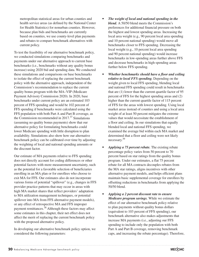metropolitan statistical areas for urban counties and health service areas (as defined by the National Center for Health Statistics) for nonurban counties. However, because plan bids and benchmarks are currently based on counties, we use county-level plan payments and rebates to compare benchmark alternatives with current policy.

To test the feasibility of our alternative benchmark policy, we conducted simulations comparing benchmarks and payments under our alternative approach to current base benchmarks (i.e., benchmarks without any quality bonus increase) using 2020 bid and spending data. We conducted these simulations and comparisons on base benchmarks to isolate the effect of replacing the current benchmark policy with the alternative approach, independent of the Commission's recommendation to replace the current quality bonus program with the MA–VIP (Medicare Payment Advisory Commission 2020). In 2020, base benchmarks under current policy are an estimated 103 percent of FFS spending and would be 102 percent of FFS spending if benchmarks were calculated using the FFS population with both Part A and Part B coverage, as the Commission recommended in  $2017$ .<sup>37</sup> Simulations (assuming no quality bonus payments) show that our alternative policy for formulating benchmarks could lower Medicare spending with little disruption to plan availability. Simulations also show how our alternative benchmark policy can be calibrated over time by adjusting the weighting of local and national spending amounts or the discount factor.

Our estimate of MA payments relative to FFS spending does not directly account for coding differences or other potential factors with more measurement uncertainty, such as the potential for a favorable selection of beneficiaries enrolling in an MA plan or for enrollees who choose to exit MA for FFS. Our estimates also do not incorporate various forms of potential "spillover" (e.g., changes in FFS provider practice patterns that may occur in areas with high MA market shares that reflect providers' adaptation to MA utilization management techniques, or potential spillover into MA from FFS alternative payment models), or any effect of retrospective MA and FFS improper payment remittances.<sup>38</sup> Although these factors may affect some estimates in this chapter, their net effect does not affect the merit of replacing the current benchmark policy with the proposed alternative policy.

In developing our alternative benchmark policy option, we considered the following parameters:

- *• The weight of local and national spending in the blend.* A 50/50 blend meets the Commission's preferences for additional financial pressure on both the highest and lowest spending areas. Increasing the local area weight (e.g., 90 percent local area spending and 10 percent national spending) would move all benchmarks closer to FFS spending. Decreasing the local weight (e.g., 10 percent local area spending and 90 percent national spending) would increase benchmarks in low-spending areas further above FFS and decrease benchmarks in high-spending areas further below FFS spending.
- *• Whether benchmarks should have a floor and ceiling relative to local FFS spending.* Depending on the weight given to local FFS spending, blending local and national FFS spending could result in benchmarks that are (1) lower than the current quartile factor of 95 percent of FFS for the highest spending areas and (2) higher than the current quartile factor of 115 percent of FFS for the areas with lowest spending. Using local market areas instead of counties and using a local area weight of at least 50 percent mitigates the extreme values that would necessitate the establishment of a floor and ceiling. In our simulations that equally blended local and national FFS spending, we examined the average bid within each MA market and determined that a floor and ceiling were not likely necessary.39
- *• Applying a 75 percent rebate.* The existing rebate percentage policy varies from 50 percent to 70 percent based on star ratings from the quality bonus program. Under our estimates, a flat 75 percent rebate for all MA contracts decouples rebates from the MA star ratings, aligns incentives with other alternative payment models, and helps efficient plans maintain basic supplemental coverage for enrollees by offsetting reductions in benchmarks from applying the 50/50 blend.
- *• Applying a 2 percent discount rate to ensure Medicare program savings.* While we estimate the effect of our alternative benchmark policy relative to plan payments without quality bonus dollars (equivalent to 103 percent of FFS spending), our benchmark alternative also makes adjustments that increase MA payments (i.e., adjusting our FFS spending to include only the population with both Part A and Part B coverage, removing benchmark caps, and increasing the rebate percentage). Therefore,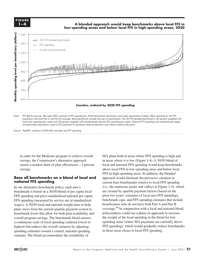**FIGURE FIGURE 1-XX 1–4**

#### **A blended approach would keep benchmarks above local FFS in low-spending areas and below local FFS in high-spending areas, 2020**



Note: FFS (fee-for-service). We used CMS's estimate of FFS spending for 2020 benchmark calculations and made adjustments to better reflect spending for the FFS population with both Part A and Part B coverage. Base benchmark includes the cap on benchmarks. The 50/50 blended benchmark is 50 percent weighted with local area spending per capita and 50 percent weighted with standardized national FFS spending per capita. National FFS spending uses standardized wages and eliminates adjustments made to FFS payments for graduate medical education and indirect medical education.

Source: MedPAC analysis of 2020 MA rate data and FFS spending.

in order for the Medicare program to achieve overall savings, the Commission's alternative approach claims a modest share of plan efficiencies-2 percent savings. avings.<br>FES in the datasheet. Make updates in the datasheet. Make updates in the datasheet. Make updates in the datash

#### **Base all benchmarks on a blend of local and** approa **national FFS spending**

In our alternative benchmark policy, each area's In our ancritance benefiniary policy, each area straight and draw it.e., are not benchmark is based on a 50/50 blend of per capita local are created FFS spending and price-standardized national per capita prior two years' estin FFS spending (measured by service use at standardized wages). A 50/50 local and national weight aims to help plans move from the current quartile payment system to plans hove from the carrent quartitie payment system to benchmark levels that allow for both plan availability and pol overall program savings. The benchmark blend ensures a continuous scale of local spending (ordered lowest to highest) but reduces the overall variation by adjusting spending estimates toward a central, national spending estimate. The blend accommodates the availability of

MA plans both in areas where FFS spending is high and in areas where it is low (Figure 1-4). A 50/50 blend of local and national FFS spending would keep benchmarks above local FFS in low-spending areas and below local FFS in high-spending areas. In addition, the blended approach would eliminate the pervasive variation in **onal FFS spending** extending the current base benchmarks relative to local FFS spending (i.e., the numerous peaks and valleys in Figure 1-4), which are created by quartile payment factors (based on the prior two years' estimates of local area FFS spending), spending (measured by service use at standardized benchmark caps, and FFS spending estimates that include beneficiaries who do not have both Part A and Part B coverage.40 In conjunction with a local and national blend, policymakers could use a phase-in approach to increase the weight of the local spending in the blend for lowspending areas (where MA payments are currently above FFS spending), which would gradually reduce benchmarks in those areas closer to local FFS spending.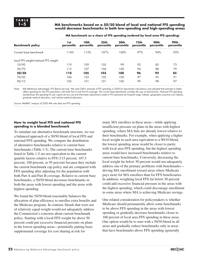#### **1–5 MA benchmarks based on a 50/50 blend of local and national FFS spending would decrease benchmarks in both low-spending and high-spending areas**

| 'st<br>percentile                     | 10th<br>percentile | 25 <sub>th</sub><br>percentile | 50th<br>percentile | 75th<br>percentile | 90th<br>percentile | 99th<br>percentile |
|---------------------------------------|--------------------|--------------------------------|--------------------|--------------------|--------------------|--------------------|
| 114%                                  | 113%               | 107%                           | 100%               | 97%                | 94%                | 93%                |
|                                       |                    |                                |                    |                    |                    |                    |
| 119                                   | 109                | 105                            | 99                 | 92                 | 85                 | 73                 |
| 115                                   | 107                | 104                            | 100                | 94                 | 88                 | 79                 |
| 110                                   | 105                | 103                            | 100                | 96                 | 92                 | 85                 |
| 106                                   | 103                | 102                            | 100                | 97                 | 9.5                | -91                |
| 102                                   | 101                | 101                            | 100                | 99                 | 98                 | 97                 |
| Local FFS weight/national FFS weight: |                    |                                |                    |                    |                    |                    |

**MA benchmark as a share of FFS spending (ordered by local area FFS spending)**

Note: MA (Medicare Advantage), FFS (fee-for-service). We used CMS's estimate of FFS spending in 2020 for benchmark calculations and adjusted that estimate to better reflect spending for the FFS population with both Part A and Part B coverage. The current base benchmark includes the cap on benchmarks. National FFS spending standardizes the spending for per capita service use and eliminates adjustments made to FFS payments by hospital wage indexes, geographic practice cost indexes, graduate medical education, and indirect medical education.

Source: MedPAC analysis of 2020 MA rate data and FFS spending.

#### **How to weight local FFS and national FFS spending in a blended benchmark**

To simulate our alternative benchmark structure, we use a balanced approach of a 50/50 blend of local FFS and national FFS spending. We compare the distribution of alternative benchmarks relative to current base benchmarks (Table 1-5). The current base benchmarks listed in Table 1-5 are not equivalent to the current quartile factors relative to FFS (115 percent, 107.5 percent, 100 percent, or 95 percent) because they include the current benchmark cap policy and are compared with FFS spending after adjusting for the population with both Part A and Part B coverage. Relative to current base benchmarks, a 50/50 blend decreases benchmarks in both the areas with lowest spending and the areas with highest spending.

We found the 50/50 blend reasonably balances the allocation of plan efficiency to enrollee extra benefits and the Medicare program. In contrast, blends that were not of relatively equal weight would not adequately address the Commission's concerns about current benchmark policy. Starting with a local FFS weight far above 50 percent could put excessive financial pressure on plans in the lowest spending areas—potentially putting basic supplemental coverage for cost sharing at risk for

many MA enrollees in these areas—while applying insufficient pressure on plans in the areas with highest spending, where MA bids are already lowest relative to their benchmarks. For example, when applying a higher local weight in each area equivalent to a 90/10 blend, the lowest spending areas would be closer to parity with local area FFS spending, but the highest spending areas would have increased benchmarks relative to current base benchmarks. Conversely, decreasing the local weight far below 50 percent would not adequately address one of the primary problems with benchmarks driving MA enrollment toward areas where Medicare pays more for MA enrollees than for FFS beneficiaries. In addition, weighting local FFS far below 50 percent could add excessive financial pressure in the areas with the highest spending, which could discourage enrollment in some areas where MA is achieving Medicare savings.

One related consideration for policymakers is whether Medicare should permanently allow some benchmarks to be above FFS spending in the areas with lowest spending or gradually decrease benchmarks closer to 100 percent of local area FFS spending in these areas. One option would be to start with a 50/50 blend in all areas and gradually reduce benchmarks only in areas that have benchmarks above FFS spending (generally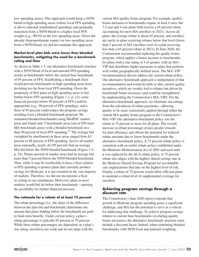low-spending areas). This approach would keep a 50/50 blend in high-spending areas (where local FFS spending is above national standardized spending) and gradually transition from a 50/50 blend to a higher local FFS weight (e.g., 90/10) in the low-spending areas. Given the already disproportionate impact on low-spending areas from a 50/50 blend, we did not simulate this approach.

#### **Market-level plan bids were lower than blended benchmarks, mitigating the need for a benchmark ceiling and floor**

As shown in Table 1-5, our alternative benchmark structure with a 50/50 blend of local and national FFS spending results in benchmarks below the current base benchmark of 95 percent of FFS. Establishing a benchmark floor would prevent benchmarks in high-spending areas from deviating too far from local FFS spending. Given the propensity of MA plans in high-spending areas to bid further below FFS spending (Figure 1-2, p. 12), some financial pressure below 95 percent of FFS could be appropriate (e.g., 90 percent of FFS spending), and a floor of 95 percent could reduce the program savings resulting from a blended benchmark proposal. We simulated blended benchmarks using MedPAC market areas and found only 5 benchmark areas (out of 856 total MA benchmark areas) with a blended benchmark less than 90 percent of local FFS spending.<sup>41</sup> The average bid (weighted by enrollment) in these areas ranged from 83 percent to 88 percent of FFS spending. Across all market areas nationally, nearly all (99 percent) had an average MA bid below the 50/50 blended benchmark (Figure 1-5, p. 24). Ninety percent of market areas had an average bid more than 5 percent below the 50/50 blended benchmark. Thus, while it may be worthwhile to have a floor relative to FFS spending to protect plans that currently produce savings for Medicare, it is not essential in the vast majority of markets. Therefore, we did not incorporate a floor or ceiling in our simulations. Moreover, plans in most markets would bid far below their benchmark—opening the possibility for further financial pressure.

#### **The rationale for a rebate of at least 75 percent**

The rebate percentage (i.e., the share of the difference between the plan bid and benchmark) determines the amount that plans bidding below the benchmark are paid to fund extra benefits. Under current policy, a plan's rebate percentage is typically 65 percent or 70 percent. While these rebate percentages are dependent on a plan's star rating, incentives are weak and do not align with the

current MA quality bonus program. For example, quality bonus increases to benchmarks require at least 4 stars, but 3.5-star and 4-star plans both receive a 65 percent rebate (accounting for most MA enrollees in 2021). Across all plans, the average rebate is about 65 percent, and enrollees are rarely in plans receiving rebates below that level (fewer than 5 percent of MA enrollees were in a plan receiving less than a 65 percent rebate in 2021). In June 2020, the Commission recommended replacing the quality bonus program, which applies a bonus increase to benchmarks for plans with a star rating of 4 or greater, with an MA– VIP that distributes higher payments to plans that perform well within geographically defined areas. The MA–VIP recommendation did not address the current rebate policy. Our alternative benchmark approach is independent of that recommendation and would do little to alter current quality incentives, which are weakly tied to rebates but driven by benchmark bonus increases (and could be strengthened by implementing the Commission's MA–VIP). For the alternative benchmark approach, we eliminate star ratings from the calculation of rebate payments—allowing quality to be more consistently applied through either the current MA quality bonus program or the Commission's MA–VIP. Our alternative benchmark policy sets the rebate at 75 percent or more for all plans. The overall increase in rebate percentage creates greater rewards for plan efficiency and offsets the potential for reduced rebate amounts due to lower benchmarks under the alternative benchmark policy. A 75 percent rebate policy is consistent with an earlier rebate policy established under the Medicare Modernization Act of 2003 and used until it was replaced by the ACA rebate policy. A 75 percent rebate also aligns with the highest shared savings rate in the Medicare Shared Savings Program for accountable care organizations that take on the highest level of risk. Finally, a rebate of 75 percent would allow efficient plans to maintain a robust level of supplemental coverage for enrollees.

#### **Achieving program savings through a discount rate**

The Commission's June 2020 report contends that growth in Medicare program spending poses a significant challenge, and MA has the potential to serve as a vehicle for addressing that challenge. To achieve program savings relative to current base benchmarks (excluding quality bonus increases), the alternative benchmark structure must include a discount factor. Indeed, when simulating blended benchmarks with 50/50 local and national weighting,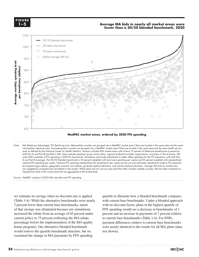**FIGURE FIGURE**  $1 - 5$ 

#### **Average MA bids in nearly all market areas were lower than a 50/50 blended benchmark, 2020**



**MedPAC market areas, ordered by 2020 FFS spending**

Note: MA (Medicare Advantage), FFS (fee-for-service). Metropolitan counties are grouped into a MedPAC market area if they are located in the same state and the same metropolitan statistical area. Nonmetropolitan counties are grouped into a MedPAC market area if they are located in the same state and the same health service area as defined by the National Center for Health Statistics. Analysis includes 856 market areas with at least 10 percent of Medicare beneficiaries (covered by both Part A and Part B) enrolled in MA. Data excludes employer group waiver plans, regional preferred provider organizations, and plans in the territories. We used CMS's estimate of FFS spending in 2020 for benchmark calculations and made adjustments to better reflect spending for the FFS population with both Part A and Part B coverage. The 50/50 blended benchmark is 50 percent weighted with local area spending per capita and 50 percent weighted with standardized national FFS spending per capita. National FFS spending standardizes the spending for per capita service use and eliminates adjustments made to FFS payments hospital wage indexes, geographic practice cost indexes, graduate medical education, and indirect medical education. Average MA bids by market area by hospital wage indexes, geographic practice cost indexes, graduate medic are weighted by projected plan enrollment in the market. While plans bid at a service area level that often includes multiple counties, MA bid data contained an in the datasheed by properties plant entertainment in the market matter at the datasheet.<br>
imputed bid value at the county level that we aggregated to the market level.

Source: MedPAC analysis of 2020 MA rate data and FFS spending.

we estimate no savings when no discount rate is applied quartile to illustrate h (Table 1-6). While the alternative benchmarks were nearly 3 percent lower than current base benchmarks, much of that savings was eliminated because our simulations or that strings was emimitted security of simulations of  $\frac{1}{100}$  increased the rebate from an average of 65 percent under per current policy to 75 percent (reflecting the MA rebate percentage before the implementation of the MA quality bonus program). Our alternative blended benchmark would remove the quartile benchmark structure, but we examined the change in MA payments by FFS spending

quartile to illustrate how a blended benchmark compares e 1-6). While the alternative benchmarks were nearly with current base benchmarks. Under a blended approach with no discount factor, plans in the highest quartile of FFS spending would see a decrease in benchmarks of 1 percent and an increase in payments of 1 percent relative to current base benchmarks (Table 1-6). For SNPs, payment differences relative to current base benchmarks were nearly identical to the results for all MA plans (data not shown).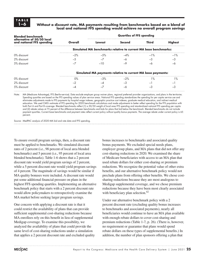#### **1–6 Without a discount rate, MA payments resulting from benchmarks based on a blend of local and national FFS spending would achieve no overall program savings**

| <b>Blended benchmark</b>                                |                                                                 | <b>Quartiles of FFS spending</b>                            |        |              |                |
|---------------------------------------------------------|-----------------------------------------------------------------|-------------------------------------------------------------|--------|--------------|----------------|
| alternative of 50/50 local<br>and national FFS spending | Overall                                                         | Lowest                                                      | Second | <b>Third</b> | <b>Highest</b> |
|                                                         | Simulated MA benchmarks relative to current MA base benchmarks: |                                                             |        |              |                |
| 0% discount                                             | $-2%$                                                           | $-5%$                                                       | $-4%$  | $-1\%$       | $-1\%$         |
| 2% discount                                             | $-5$                                                            | $-7$                                                        | $-6$   | $-3$         | $-3$           |
| 5% discount                                             | $-7$                                                            | $-10$                                                       | $-9$   |              | -6             |
|                                                         |                                                                 | Simulated MA payments relative to current MA base payments: |        |              |                |
| 0% discount                                             | $0\%$                                                           | $-3%$                                                       | $-2%$  | $1\%$        | $1\%$          |
| 2% discount                                             | $-2$                                                            | $-4$                                                        | $-3$   | -1           | — 1            |
| 5% discount                                             |                                                                 | $-7$                                                        | -6     |              | -3             |

Note: MA (Medicare Advantage), FFS (fee-for-service). Data exclude employer group waiver plans, regional preferred provider organizations, and plans in the territories. Spending quartiles are based on the FFS spending values of plan service areas. National FFS spending standardizes the spending for per capita service use and eliminates adjustments made to FFS payments by hospital wage indexes, geographic practice cost indexes, graduate medical education, and indirect medical education. We used CMS's estimate of FFS spending for 2020 benchmark calculations and made adjustments to better reflect spending for the FFS population with both Part A and Part B coverage. Blended benchmarks reflect (1) a 50/50 weight of local area FFS spending and standardized national FFS spending per capita and (2) rebate values at 75 percent of the difference between benchmarks and bids for plans that bid below the benchmark. Blended benchmarks do not include payment quartiles. Current base benchmarks and payment rates reflect current policy without quality bonus payments. The average rebate under current policy is 65 percent.

Source: MedPAC analysis of 2020 MA bid and rate data and FFS spending.

To ensure overall program savings, then, a discount rate must be applied to benchmarks. We simulated discount rates of 2 percent (i.e., 98 percent of local area blended benchmarks) and 5 percent (i.e., 95 percent of local area blended benchmarks). Table 1-6 shows that a 2 percent discount rate would yield program savings of 2 percent, while a 5 percent discount rate would yield program savings of 4 percent. The magnitude of savings would be similar if MA quality bonuses were included. A discount rate would put some additional financial pressure on plans in the highest FFS spending quartiles. Implementing an alternative benchmark policy that starts with a 2 percent discount rate would allow policymakers to retrospectively examine the MA market before seeking larger program savings.

One concern with applying a discount rate is that it could restrict the availability of plans that can provide sufficient supplemental cost-sharing reductions because MA enrollees rely on this benefit in lieu of supplemental Medigap coverage. To examine this possibility, we analyzed the availability of plans that could provide the same level of cost-sharing reductions under a simulation that applies a 2 percent discount rate and excluded quality

bonus increases to benchmarks and associated quality bonus payments. We excluded special needs plans, employer group plans, and MA plans that did not offer any cost-sharing reductions in 2020. We examined the share of Medicare beneficiaries with access to an MA plan that used rebate dollars for either cost-sharing or premium reductions. We recognize the potential value of other extra benefits, and our alternative benchmark policy would not preclude plans from offering other benefits. We chose costsharing reductions because they are most analogous to Medigap supplemental coverage, and we chose premium reductions because they have been most clearly associated with beneficiary plan selection. $42$ 

Under our alternative benchmark policy with a 2 percent discount rate (excluding quality bonus increases to benchmarks and associated payments), nearly all beneficiaries would continue to have an MA plan available with enough rebate dollars to cover cost-sharing and premium reductions (Table 1-7, p. 26). (There is, however, no requirement or guarantee that plans would spend rebate dollars on these types of supplemental benefits.) In addition, the number of plan sponsors offering a plan that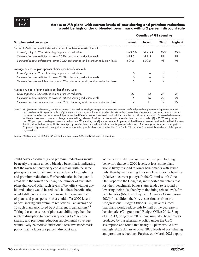#### **1–7 Access to MA plans with current levels of cost-sharing and premium reductions would be high under a blended benchmark with a 2 percent discount rate**

|                                                                                      | <b>Quartiles of FFS spending</b> |        |              |                |  |
|--------------------------------------------------------------------------------------|----------------------------------|--------|--------------|----------------|--|
| Supplemental coverage                                                                |                                  | Second | <b>Third</b> | <b>Highest</b> |  |
| Share of Medicare beneficiaries with access to at least one MA plan with:            |                                  |        |              |                |  |
| Current policy: 2020 cost-sharing or premium reduction                               | >99.5%                           | >99.5% | 99%          | 97%            |  |
| Simulated rebate: sufficient to cover 2020 cost-sharing reduction levels             | >99.5                            | >99.5  | 99           | 97             |  |
| Simulated rebate: sufficient to cover 2020 cost-sharing and premium reduction levels | >99.5                            | >99.5  | 98           | 96             |  |
| Average number of plan sponsor choices per beneficiary with:                         |                                  |        |              |                |  |
| Current policy: 2020 cost-sharing or premium reduction                               | 6                                | 6      |              | 8              |  |
| Simulated rebate: sufficient to cover 2020 cost-sharing reduction levels             | 6                                | 6      |              | 8              |  |
| Simulated rebate: sufficient to cover 2020 cost-sharing and premium reduction levels | 5                                | 5      | 7            | 8              |  |
| Average number of plan choices per beneficiary with:                                 |                                  |        |              |                |  |
| Current policy: 2020 cost-sharing or premium reduction                               | 22                               | 22     | 27           | 27             |  |
| Simulated rebate: sufficient to cover 2020 cost-sharing reduction levels             | 15                               | 16     | 22           | 24             |  |
| Simulated rebate: sufficient to cover 2020 cost-sharing and premium reduction levels | 12                               | 11     | 19           | 22             |  |

Note: MA (Medicare Advantage), FFS (fee-for-service). Data exclude employer group waiver plans and regional preferred provider organizations. Spending quartiles are based on the FFS spending values of plan service areas. Payments for alternative benchmarks exclude quality bonus increases to benchmarks and associated payments and reflect rebate values at 75 percent of the difference between benchmarks and bids for plans that bid below the benchmark. Simulated rebate values for blended benchmarks assume no change in plan bidding behavior. Simulated rebates result from blended benchmarks that reflect (1) a 50/50 weight of local area FFS per capita spending and standardized national FFS spending and (2) rebate values at 75 percent of the difference between benchmarks and bids for plans that bid below the benchmark. Unlike current policy, blended benchmarks do not include quartile payment adjustments. The average rebate under current policy is 65 percent. Supplemental coverage for premiums may reflect premium buydown for either Part D or Part B. "Plan sponsors" represent the number of distinct parent organizations.

Source: MedPAC analysis of 2020 MA bid and rate data, CMS 2020 enrollment, and FFS spending.

could cover cost-sharing and premium reductions would be nearly the same under a blended benchmark, indicating that the average beneficiary could remain with the same plan sponsor and maintain the same level of cost-sharing and premium reductions. For beneficiaries in the quartile areas with the lowest spending, the number of available plans that could offer such levels of benefits (without any bid reduction) would be reduced, but these beneficiaries would still have access to a reasonably robust number of plans and plan sponsors that could offer 2020 levels of cost-sharing and premium reductions—an average of 12 such plans sponsored by 5 different organizations.<sup>43</sup> Taking these measures of plan availability together, the relative disruption to beneficiary access to MA costsharing and premium reduction supplemental coverage would likely be modest under our alternative benchmark policy that includes a 2 percent discount rate.

While our simulations assume no change in bidding behavior relative to 2020 levels, at least some plans would likely respond to lower benchmarks with lower bids, thereby maintaining the same level of extra benefits (relative to current policy). In the Commission's June 2020 report to the Congress, we reported that plans that lost their benchmark bonus status tended to respond by lowering their bids, thereby maintaining rebate levels for beneficiaries (Medicare Payment Advisory Commission 2020). In addition, the MA cost estimates from the Congressional Budget Office (CBO) have assumed that plans would reduce bids by half of the decrease in benchmarks (Congressional Budget Office 2018, Song et al. 2013, Song et al. 2012). We simulated benchmarks produced by our alternative policy under the CBO assumption and found that nearly all plans would have enough rebate dollars to cover 2020 levels of cost-sharing and premium reductions. Further, our March 2021 report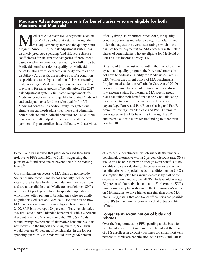### **Medicare Advantage payments for beneficiaries who are eligible for both Medicare and Medicaid**

Medicare Advantage (MA) payments account<br>for Medicaid eligibility status through the<br>risk adjustment system and the quality bonu for Medicaid eligibility status through the risk adjustment system and the quality bonus program. Since 2017, the risk adjustment system has distinctly predicted spending (and risk score disease coefficients) for six separate categories of enrollment based on whether beneficiaries qualify for full or partial Medicaid benefits or do not qualify for Medicaid benefits (along with Medicare eligibility due to age or disability). As a result, the relative cost of a condition is specific to each subgroup of beneficiaries, meaning that, on average, Medicare pays more accurately than previously for those groups of beneficiaries. The 2017 risk adjustment system eliminated overpayments for Medicare beneficiaries who qualify for partial Medicaid and underpayments for those who qualify for full Medicaid benefits. In addition, fully integrated dualeligible special needs plans (i.e., those that administer both Medicare and Medicaid benefits) are also eligible to receive a frailty adjuster that increases all plan payments if plan enrollees have difficulty with activities

of daily living. Furthermore, since 2017, the quality bonus program has included a categorical adjustment index that adjusts the overall star rating (which is the basis of bonus payments) for MA contracts with higher shares of beneficiaries who are eligible for Medicaid or Part D's low-income subsidy (LIS).

Because of these adjustments within the risk adjustment system and quality program, the MA benchmarks do not have to address eligibility for Medicaid or Part D's LIS. Neither the current policy of MA benchmarks (implemented under the Affordable Care Act of 2010) nor our proposed benchmark option directly address low-income status. Furthermore, MA special needs plans can tailor their benefit package by not allocating their rebate to benefits that are covered by other payers (e.g., Part A and Part B cost sharing and Part B premium coverage by Medicaid and Part D premium coverage up to the LIS benchmark through Part D) and instead allocate more rebate funding to other extra benefits. ■

to the Congress showed that plans decreased their bids (relative to FFS) from 2020 to 2021—suggesting that plans have found efficiencies beyond their 2020 bidding levels.<sup>44</sup>

Our simulations on access to MA plans do not include SNPs because those plans do not generally include cost sharing, are far less likely to include premium reductions, and are not available to all Medicare beneficiaries. SNPs offer benefit packages tailored to specific populations, which most often pertain to beneficiaries who are dually eligible for Medicare and Medicaid (see text box on how MA payments account for dual-eligible beneficiaries). In 2020, SNP bids averaged 88 percent of base benchmarks. We simulated a 50/50 blended benchmark with a 2 percent discount rate for SNPs and found that 2020 SNP bids would average 92 percent of alternative benchmarks (data not shown). In the highest spending quartile, SNP bids would average 91 percent of benchmarks. In the lowest spending quartiles, SNP bids would average 96 percent

of alternative benchmarks, which suggests that under a benchmark alternative with a 2 percent discount rate, SNPs would still be able to provide enough extra benefits to be a viable choice for dual-eligible beneficiaries and other beneficiaries with special needs. In addition, under CBO's assumption that plan bids would decrease by half of the decrease in benchmarks, overall SNP bids would average 88 percent of alternative benchmarks. Furthermore, SNPs have consistently been shown, in the Commission's work on MA margins, to have higher margins than other MA plans—suggesting that additional efficiencies are possible for SNPs to maintain the current level of extra benefits offered.

#### **Longer term examination of bids and rebates**

Over the long term, using FFS spending as the basis for benchmarks will result in biased benchmarks if the share of FFS enrollees in a county becomes too small. Forty-six percent of Medicare beneficiaries with Part A and Part B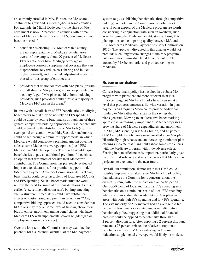are currently enrolled in MA. Further, the MA share continues to grow and is much higher in some counties. For example, in Miami-Dade county, the share of MA enrollment is now 75 percent. In counties with a small share of Medicare beneficiaries in FFS, benchmarks would become biased if:

- beneficiaries electing FFS Medicare in a county are not representative of Medicare beneficiaries overall (for example, about 90 percent of Medicare FFS beneficiaries have Medigap coverage or employer-sponsored supplemental coverage that can disproportionately reduce cost sharing and induce higher demand), and if the risk adjustment model is biased for this group of enrollees, or
- providers that do not contract with MA plans (or with a small share of MA patients) are overrepresented in a county (e.g., if MA plans avoid volume-inducing providers, such providers could furnish a majority of Medicare FFS care in the area).<sup>45</sup>

In areas with a small share of FFS beneficiaries, modifying benchmarks so that they do not rely on FFS spending could be done by setting benchmarks through one of three general competitive bidding approaches. First, benchmarks could be based on the distribution of MA bids (e.g., the average bid or second-lowest bid). Second, benchmarks could be set through a premium support model in which Medicare would contribute a premium amount covering at least some Medicare coverage options (local FFS Medicare or MA plan options). This model would require beneficiaries to pay an additional premium if they chose an option that was more expensive than Medicare's contribution. The Commission has previously evaluated important considerations for a premium support model (Medicare Payment Advisory Commission 2017). Third, benchmarks could be set as a blend of local area MA bids and FFS spending. Such a benchmark structure would remove the need for some of the considerations discussed earlier (e.g., setting a discount rate), but implementing such a structure immediately could have substantive effects on cost-sharing and premium reductions.<sup>46</sup> Any competitive bidding approach would need to consider that MA plans may rely on some level of funding above their bids to entice enrollment among beneficiaries who have Medicare FFS with supplemental coverage (Medigap or employer-sponsored coverage).

Over the long term, the Commission may examine the potential for a substantial overhaul of the MA payment

system (e.g., establishing benchmarks through competitive bidding). As noted in the Commission's earlier work, several other aspects of the Medicare program are worth considering in conjunction with such an overhaul, such as redesigning the Medicare benefit, standardizing MA plan options, and comparing quality between MA and FFS Medicare (Medicare Payment Advisory Commission 2017). The approach discussed in this chapter would not preclude such longer term changes to the MA program, but would more immediately address current problems created by MA benchmarks and produce savings to Medicare.

#### **Recommendation**

Current benchmark policy has resulted in a robust MA program with plans that are more efficient than local FFS spending, but MA benchmarks have been set at a level that produces unnecessarily wide variation in plan payments and requires Medicare to provide additional funding to MA rather than share in the savings that plans generate. Moving to an alternative benchmarking approach is increasingly important as MA encompasses a growing share of Medicare expenditures and enrollment. In 2020, MA spending was \$317 billion, and 43 percent of MA-eligible beneficiaries were enrolled in an MA plan. Historically high rebates and an increasing number of plan offerings indicate that plans could share some efficiencies with the Medicare program with little adverse effect. Sharing in plan efficiencies is important, particularly given the trust fund solvency and revenue issues that Medicare is projected to encounter in the near future.

Overall, our simulations demonstrate that CMS could feasibly implement an alternative MA benchmark policy that addresses the Commission's concerns about the current system, with little impact on plan participation. Our 50/50 blend of local and national FFS spending sets benchmarks on a continuous scale of local FFS spending while accommodating the availability of MA plans in areas with both high FFS spending and low FFS spending. The vast majority of MA markets had an average bid far below the benchmark calculated under our alternative benchmark policy, suggesting that additional financial pressure could be applied to benchmarks through a 2 percent discount rate. After applying a 2 percent discount rate and a 75 percent rebate, the relative disruption to beneficiary access to MA cost-sharing and premium reduction supplemental coverage would likely be modest.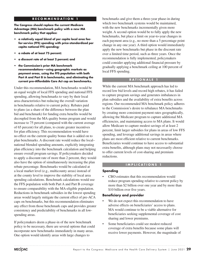#### **RECOMMENDATION 1**

**The Congress should replace the current Medicare Advantage (MA) benchmark policy with a new MA benchmark policy that applies:**

- **• a relatively equal blend of per capita local area feefor-service (FFS) spending with price-standardized per capita national FFS spending;**
- **• a rebate of at least 75 percent;**
- **• a discount rate of at least 2 percent; and**
- **• the Commission's prior MA benchmark recommendations—using geographic markets as payment areas, using the FFS population with both Part A and Part B in benchmarks, and eliminating the current pre–Affordable Care Act cap on benchmarks.**

Under this recommendation, MA benchmarks would be an equal weight of local FFS spending and national FFS spending, allowing benchmarks to vary by their local area characteristics but reducing the overall variation in benchmarks relative to current policy. Rebates paid to plans (as a share of the difference between the plan bid and benchmark) for funding extra benefits would be decoupled from the MA quality bonus program and would increase to 75 percent (compared with the current average of 65 percent) for all plans, to create greater incentives for plan efficiency. This recommendation would have no effect on the current quality bonus that is added on to plan benchmarks. A discount rate would reduce the local– national blended spending amounts, explicitly integrating plan efficiency into the benchmark calculation and helping ensure overall program savings. If policymakers decided to apply a discount rate of more than 2 percent, they would also have the option of simultaneously increasing the plan rebate percentage. Benchmarks would be calculated at a local market level (e.g., multicounty areas) instead of at the county level to improve the stability of local area spending calculations. Benchmark calculations would use the FFS population with both Part A and Part B coverage to ensure comparability with the MA-eligible population. Reductions in benchmark subsidies in the lowest spending areas would largely mitigate the current effect of pre-ACA caps on benchmarks, but this recommendation eliminates any effect from those benchmark caps and provides greater consistency and predictability of benchmarks in all lowspending areas.

If policymakers deem a phase-in of the new benchmark policy to be necessary, there are several options that could incorporate new benchmarks immediately in many areas. One option would identify areas with large changes to

benchmarks and give them a three-year phase-in during which two benchmark systems would be maintained, with the new benchmarks incrementally given more weight. A second option would be to fully apply the new benchmarks, but place a limit on year-to-year changes in each payment area (e.g., no more than a 5 percentage point change in any one year). A third option would immediately apply the new benchmarks but phase in the discount rate over a limited time period, such as three years. Once the recommendation is fully implemented, policymakers could consider applying additional financial pressure by gradually applying a benchmark ceiling at 100 percent of local FFS spending.

#### **RATIONALE 1**

While the current MA benchmark approach has led to record low bid levels and record high rebates, it has failed to capture program savings and generates imbalances in plan subsidies and the availability of extra benefits across regions. Our recommended MA benchmark policy adheres to the Commission's desire to rebalance MA benchmarks by creating more consistent payment rates geographically, allowing the Medicare program to capture additional MA efficiencies, and maintaining access to MA plans. It would allow Medicare to capture modest savings of at least 2 percent, limit larger subsidies for plans in areas of low FFS spending, and leverage additional savings in areas where plans are most efficient relative to current benchmarks. Beneficiaries would continue to have access to substantial extra benefits, although plans may not necessarily choose to offer current levels of cost-sharing and premium reductions.

#### **IMPLICATIONS 1**

#### **Spending**

• CBO estimates that this recommendation would reduce program spending relative to current policy by more than \$2 billion over one year and by more than \$10 billion over five years.

#### **Beneficiary and provider**

- We do not expect this recommendation to have adverse effects on beneficiaries' access to plans. MA would continue to be a viable alternative for beneficiaries seeking supplemental coverage of cost sharing and lower premiums.
- Some beneficiaries could see modest reduced coverage of extra benefits because some plans will receive lower payments. However, the magnitude of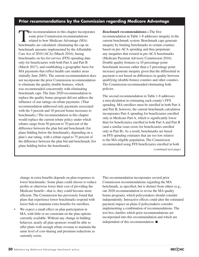## **Prior recommendations by the Commission regarding Medicare Advantage**

The recommendation in this chapter incorporates some prior Commission recommendations related to how Medicare Advantage (MA) benchmarks are calculated: eliminating the cap on benchmark amounts implemented by the Affordable Care Act of 2010 (ACA) (March 2016), basing benchmarks on fee-for-service (FFS) spending data only for beneficiaries with both Part A and Part B (March 2017), and establishing a geographic basis for MA payments that reflect health care market areas (initially June 2005). The current recommendation does not incorporate the prior Commission recommendation to eliminate the quality double bonuses, which was recommended concurrently with eliminating benchmark caps. The June 2020 recommendation to replace the quality bonus program did not address the influence of star ratings on rebate payments. (That recommendation addressed only payments associated with the 5 percent and 10 percent bonus increases to benchmarks.) The recommendation in this chapter would replace the current rebate policy under which rebates range from 50 percent to 70 percent of the difference between the plan bid and benchmark (for plans bidding below the benchmark), depending on a plan's star rating, with a rebate equal to 75 percent of the difference between the plan bid and benchmark (for plans bidding below the benchmark).

*Benchmark recommendations—*The first recommendation in Table 1-8 addresses inequity in the current benchmark system. Benchmark caps generate inequity by limiting benchmarks in certain counties based on pre-ACA spending and thus perpetuate any inequities that existed in pre-ACA benchmarks (Medicare Payment Advisory Commission 2016). Double quality bonuses (a 10 percentage point benchmark increase rather than a 5 percentage point increase) generate inequity given that the differential in payment is not based on differences in quality between qualifying (double-bonus) counties and other counties. The Commission recommended eliminating both policies.

The second recommendation in Table 1-8 addresses a miscalculation in estimating each county's FFS spending. MA enrollees must be enrolled in both Part A and Part B; however, the current benchmark calculation incorporates Part A spending for beneficiaries enrolled only in Medicare Part A, which is significantly lower than for beneficiaries enrolled in both Part A and Part B (and a similar issue exists for beneficiaries enrolled only in Part B). As a result, benchmarks are based on FFS spending estimates that are too low relative to the MA-eligible population. The Commission recommended using FFS beneficiaries enrolled in both *(continued next page)*

change in extra benefits depends on plan responses to lower benchmarks. Some plans could choose to reduce profits or otherwise lower their cost of providing the Medicare benefit—that is, they could become more efficient. The Commission has previously found that plans that experience lower benchmarks respond with lower bids to maintain extra benefits for enrollees.

• We expect a small effect on plan participation in MA, with little or no constraint on the plan options currently available. Without any change in bidding behavior, nearly all plan sponsors would be able to offer plans with enough rebate revenue to maintain the same level of cost-sharing and premium reductions as currently exists.

This recommendation incorporates several prior Commission recommendations regarding the MA benchmark, as specified, but is distinct from others (e.g., our 2020 recommendation to revise the MA quality bonus program), which policymakers should consider independently. Interactive effects could alter the estimated payment impact on plans if policymakers consider implementing a combination of recommendations. The text box clarifies which prior recommendations are incorporated into this recommendation and which are independent of this recommendation. ■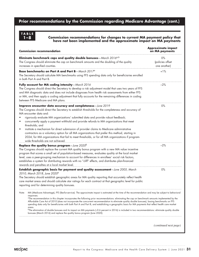# **Prior recommendations by the Commission regarding Medicare Advantage (cont.)**

# **TABLE**

#### **1–8 Commission recommendations for changes to current MA payment policy that have not been implemented and the approximate impact on MA payments**

| <b>Commission recommendation</b>                                                                                                                                                                                                                                                                                                                                                                                                                                                                                                                                                                                                                                                                                                                                                                                                                                                                                   | <b>Approximate impact</b><br>on MA payments |
|--------------------------------------------------------------------------------------------------------------------------------------------------------------------------------------------------------------------------------------------------------------------------------------------------------------------------------------------------------------------------------------------------------------------------------------------------------------------------------------------------------------------------------------------------------------------------------------------------------------------------------------------------------------------------------------------------------------------------------------------------------------------------------------------------------------------------------------------------------------------------------------------------------------------|---------------------------------------------|
| Eliminate benchmark caps and quality double bonuses - March 2016 $a,b$<br>The Congress should eliminate the cap on benchmark amounts and the doubling of the quality<br>increases in specified counties.                                                                                                                                                                                                                                                                                                                                                                                                                                                                                                                                                                                                                                                                                                           | 0%<br>(policies offset<br>one another)      |
| Base benchmarks on Part A and Part B-March 2017a<br>The Secretary should calculate MA benchmarks using FFS spending data only for beneficiaries enrolled<br>in both Part A and Part B.                                                                                                                                                                                                                                                                                                                                                                                                                                                                                                                                                                                                                                                                                                                             | $+1%$                                       |
| Fully account for MA coding intensity-March 2016<br>The Congress should direct the Secretary to develop a risk adjustment model that uses two years of FFS<br>and MA diagnostic data and does not include diagnoses from health risk assessments from either FFS<br>or MA, and then apply a coding adjustment that fully accounts for the remaining differences in coding<br>between FFS Medicare and MA plans.                                                                                                                                                                                                                                                                                                                                                                                                                                                                                                    | $-2%$                                       |
| Improve encounter data accuracy and completeness-June 2019<br>The Congress should direct the Secretary to establish thresholds for the completeness and accuracy of<br>MA encounter data and:<br>rigorously evaluate MA organizations' submitted data and provide robust feedback;<br>concurrently apply a payment withhold and provide refunds to MA organizations that meet<br>thresholds; and<br>institute a mechanism for direct submission of provider claims to Medicare administrative<br>contractors as a voluntary option for all MA organizations that prefer this method, starting in<br>2024, for MA organizations that fail to meet thresholds, or for all MA organizations if program-<br>wide thresholds are not achieved.                                                                                                                                                                          | 0%                                          |
| Replace the quality bonus program $-$ June 2020 <sup>b</sup><br>The Congress should replace the current MA quality bonus program with a new MA value incentive<br>program that scores a small set of population-based measures, evaluates quality at the local market<br>level, uses a peer-grouping mechanism to account for differences in enrollees' social risk factors,<br>establishes a system for distributing rewards with no "cliff" effects, and distributes plan-financed<br>rewards and penalties at a local market level.                                                                                                                                                                                                                                                                                                                                                                             | $-2%$                                       |
| Establish geographic basis for payment and quality assessment-June 2005, March<br>2010, March 2018, June 2020 <sup>a</sup><br>The Secretary should establish geographic areas for MA quality reporting that accurately reflect health<br>care market areas and should calculate star ratings for each contract at that geographic level for public<br>reporting and for determining quality bonuses.                                                                                                                                                                                                                                                                                                                                                                                                                                                                                                               | 0%                                          |
| MA (Medicare Advantage), FFS (fee-for-service). The approximate impact is estimated at the time of the recommendation and may be subject to behavioral<br>Note:<br>responses.<br><sup>o</sup> The recommendation in this chapter incorporates the following prior recommendations: eliminating the cap on benchmark amounts implemented by the<br>Affordable Care Act of 2010 (does not incorporate the concurrent recommendation to eliminate quality double bonuses), basing benchmarks on FFS<br>spending data only for beneficiaries with both Part A and Part B, and establishing a geographic basis for MA payments that reflect health care market<br>areas.<br><sup>b</sup> The elimination of double bonuses and its impact on MA payments (–0.6 percent in 2016) is included in two recommendations: eliminate quality double<br>bonuses (March 2016) and replace the quality bonus program (June 2020). |                                             |
|                                                                                                                                                                                                                                                                                                                                                                                                                                                                                                                                                                                                                                                                                                                                                                                                                                                                                                                    | (continued next page)                       |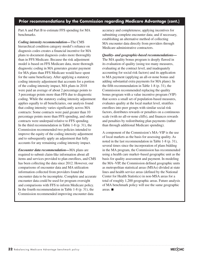## **Prior recommendations by the Commission regarding Medicare Advantage (cont.)**

Part A and Part B to estimate FFS spending for MA benchmarks.

*Coding intensity recommendation—*The CMS hierarchical condition category model's reliance on diagnosis codes creates a financial incentive for MA plans to document diagnosis codes more thoroughly than in FFS Medicare. Because the risk adjustment model is based on FFS Medicare data, more thorough diagnostic coding in MA generates greater payment for MA plans than FFS Medicare would have spent for the same beneficiary. After applying a statutory coding intensity adjustment that accounts for a portion of the coding intensity impact, MA plans in 2018 were paid an average of about 2 percentage points to 3 percentage points more than FFS due to diagnostic coding. While the statutory coding intensity adjustment applies equally to all beneficiaries, our analysis found that coding intensity varies significantly across MA contracts: Some contracts were paid greater than 10 percentage points more than FFS spending, and other contracts were underpaid relative to FFS spending. In the third recommendation in Table 1-8 (p. 31), the Commission recommended two policies intended to improve the equity of the coding intensity adjustment and to subsequently apply an adjustment that fully accounts for any remaining coding intensity impact.

*Encounter data recommendation—*MA plans are required to submit claim-like information about all items and services provided to plan enrollees, and CMS has been collecting the data since 2012. However, our comparisons of encounter data and MA utilization information collected from providers found the encounter data to be incomplete. Complete and accurate encounter data could be used for program oversight and comparisons with FFS to inform Medicare policy. In the fourth recommendation in Table 1-8 (p. 31), the Commission recommended improving encounter data

accuracy and completeness; applying incentives for submitting complete encounter data; and if necessary, establishing an alternative method of collecting MA encounter data directly from providers through Medicare administrative contractors.

*Quality- and geographic-based recommendations—* The MA quality bonus program is deeply flawed in its evaluation of quality (using too many measures, evaluating at the contract level, and inadequately accounting for social risk factors) and its application to MA payment (applying an all-or-none bonus and adding substantial extra payments for MA plans). In the fifth recommendation in Table 1-8 (p. 31), the Commission recommended replacing the quality bonus program with a value incentive program (VIP) that scores a small set of population-based measures, evaluates quality at the local market level, stratifies enrollees into peer groups with similar social risk factors, distributes rewards or penalties on a continuous scale (with no all-or-none cliffs), and finances rewards and penalties by redistributing plan payments (rather than through additional Medicare spending).

A component of the Commission's MA–VIP is the use of local markets as the basis for assessing quality. As noted in the last recommendation in Table 1-8 (p. 31), several times since the incorporation of plans bidding in the MA program, the Commission has recommended using a health care market–based geographic unit as the basis for quality assessment and payment. In modeling the MA–VIP, the Commission defined geographic units as metropolitan statistical areas (MSAs) divided at state lines and health service areas (defined by the National Center for Health Statistics) in non-MSA areas for a total of roughly 1,200 geographic areas. Future analysis of MA benchmark policy will use the same geographic areas. ■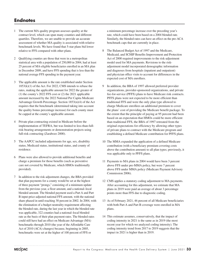# **Endnotes**

- 1 The current MA quality program assesses quality at the contract level, which can span many counties and different quartiles. Therefore, we are unable to provide an accurate assessment of whether MA quality is associated with relative benchmark levels. We have found that 5-star plans bid lower relative to FFS compared with other plans.
- 2 Qualifying counties are those that were in a metropolitan statistical area with a population of 250,000 in 2004, had at least 25 percent of MA-eligible beneficiaries enrolled in an MA plan in December 2009, and have FFS spending that is less than the national average FFS spending in the payment year.
- 3 The applicable amount is the rate established under Section  $1853(k)(1)$  of the Act. For 2022, CMS intends to rebase the rates, making the applicable amount for 2022 the greater of (1) the county's 2022 FFS cost or (2) the 2021 applicable amount increased by the 2022 National Per Capita Medicare Advantage Growth Percentage. Section 1853(n)(4) of the Act requires that the benchmark (determined taking into account the quality bonus percentage increase) for each county must be capped at the county's applicable amount.
- 4 Private plan contracting existed in Medicare before the implementation of TEFRA, but was limited to less-than-fullrisk-bearing arrangements or demonstration projects using full-risk contracting (Zarabozo 2000).
- 5 The AAPCC included adjustments for age, sex, disability status, Medicaid status, institutional status, and county of residence.
- 6 Plans were also allowed to provide additional benefits and charge a premium for those benefits (such as preventive care not covered by Medicare, which HMOs traditionally provided).
- 7 In addition to the risk adjustment changes, the BBA provided that plan payments for a county would be set at the highest of three payment "prongs," consisting of a minimum update from the previous year, a floor amount, and a national–local blended amount. The blended payment used a Part A and Part B input-price-adjusted national FFS amount, with the national share phased in until reaching 30 percent in 2002. In 2004, with the elimination of a budget neutrality requirement affecting the blended rate, during the last year in which the blended rate was applicable, 322 counties had a national–local blended rate as the basis of their plan payment rates. The blended rates could still have had an effect on Medicare Advantage (MA) benchmarks through 2010 (the year of the Affordable Care Act of 2010 (ACA) changes) because, beginning in 2005, benchmarks were set at the higher of 100 percent of FFS or

a minimum percentage increase over the preceding year's rate, which could have been based on a 2004 blended rate. Similarly, the blended rates can have an effect on the pre-ACA benchmark caps that are currently in place.

- 8 The Balanced Budget Act of 1997 and the Medicare, Medicaid, and SCHIP Benefits Improvement and Protection Act of 2000 required improvements to the risk-adjustment model used for MA payments. Revisions to the riskadjustment model incorporated demographic information and diagnoses from hospitals (inpatient and outpatient) and physician office visits to account for differences in the expected cost of MA enrollees.
- 9 In addition, the BBA of 1997 allowed preferred provider organizations, provider-sponsored organizations, and private fee-for-service (PFFS) plans to have Medicare risk contracts. PFFS plans were not expected to be more efficient than traditional FFS and were the only plan type allowed to charge Medicare enrollees an additional premium to cover the plans' cost of providing the Medicare benefit package. To the extent that the principle of paying at 95 percent had been based on an expectation that HMOs could be more efficient than traditional FFS, the BBA of 1997 retreated from the original expectations for efficiency by allowing other types of private plans to contract with the Medicare program and establishing a defined Medicare contribution for PFFS plans.
- 10 The MMA expanded the application of a defined Medicare contribution (with a beneficiary premium covering costs above the contribution amount) to all plan types; previously, it was applicable only to PFFS plans.
- 11 Payments to MA plans in 2004 would have been 3 percent above FFS under pre-MMA policy, but were 7 percent above FFS under MMA policy (Medicare Payment Advisory Commission 2006).
- 12 CMS applies a statutory coding adjustment to MA payments. After accounting for this adjustment, we estimate that MA plans in 2019 were paid an average of about 3 percentage points more than FFS due to diagnostic coding.
- 13 As of February 2021, 46 percent of all Medicare beneficiaries with both Part A and Part B coverage were enrolled in MA plans.
- 14 This estimate assumes, conservatively, that the impact of coding intensity in 2021 is the same as in 2019 (the most recent year for which we analyzed coding intensity). The coding intensity trend from 2017 to 2019 suggests that the impact in 2021 is higher than in 2019.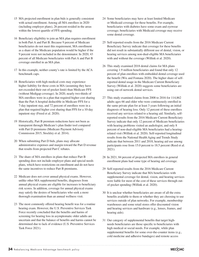- 15 MA projected enrollment in plan bids is generally consistent with actual enrollment. Among all MA enrollees in 2020 (including employer plans), 26 percent resided in the areas within the lowest quartile of FFS spending.
- 16 Beneficiary eligibility to join an MA plan requires enrollment in both Part A and Part B. Because 9 percent of Medicare beneficiaries do not meet this requirement, MA enrollment as a share of the Medicare population would be higher if the 9 percent were not included in the denominator. In 2020, 43 percent of all Medicare beneficiaries with Part A and Part B coverage enrolled in an MA plan.
- 17 In this example, neither county's rate is limited by the ACA benchmark caps.
- 18 Beneficiaries with high medical costs may experience higher liability for those costs in MA (assuming they have not exceeded their out-of-pocket limit) than Medicare FFS (without Medigap coverage). In 2020, nearly two-thirds of MA enrollees were in a plan that required higher cost sharing than the Part A hospital deductible in Medicare FFS for a 7-day inpatient stay, and 72 percent of enrollees were in a plan that required higher cost sharing than FFS for a 10-day inpatient stay (Freed et al. 2020).
- 19 Historically, Part B premium reductions have not been as transparent through Medicare's plan finder tool compared with Part D premiums (Medicare Payment Advisory Commission 2015, Stockley et al. 2014).
- 20 When submitting Part D bids, plans may allocate administrative expenses and margin toward the Part D revenue that results from projected Part C rebates.
- 21 The share of MA enrollees in plans that reduce Part B spending does not include employer plans and special needs plans, which have restrictions on enrollment and do not have the same incentives to reduce Part B premiums.
- 22 Medicare does not cover annual physical exams. However, unlike other MA supplemental benefits, diagnoses from annual physical exams are eligible for increases to beneficiary risk scores. In addition, coverage for annual physical exams may satisfy the desires of beneficiaries who seek a more thorough examination than an annual wellness visit.
- 23 The most commonly offered hearing benefit was for a routine hearing exam. However, the U.S. Preventive Services Task Force recently concluded that the benefits and harms of screening for hearing loss in asymptomatic older adults are uncertain and that the balance of benefits and harms cannot be determined due to lack of evidence (U.S. Preventive Services Task Force 2021).
- 24 Some beneficiaries may have at least limited Medicare or Medicaid coverage for these benefits. For example, beneficiaries with diabetes have some exam and eyewear coverage; beneficiaries with Medicaid coverage may receive some dental coverage.
- 25 Self-reported results from the 2016 Medicare Current Beneficiary Survey indicate that coverage for these benefits did not result in substantially different use of dental, vision, or hearing services among non-dual-eligible MA beneficiaries with and without the coverage (Willink et al. 2020).
- 26 This study examined 2018 dental claims for MA plans covering 1.9 million beneficiaries and found that only 12 percent of plan enrollees with embedded dental coverage used the benefit (Wix and Fontana 2020). The higher share of selfreported dental usage in the Medicare Current Beneficiary Survey (Willink et al. 2020) suggests some beneficiaries are using out-of-network dental services.
- 27 This study examined claims from 2008 to 2016 for 114,862 adults ages 66 and older who were continuously enrolled in the same private plan for at least 3 years following an initial diagnosis of hearing loss. Only 12 percent of these enrollees received any services related to a hearing aid. Similarly, selfreported results from the 2016 Medicare Current Beneficiary Survey indicate that only 12 percent of Medicare beneficiaries with hearing problems visited an audiologist, and only 8 percent of non-dual-eligible MA beneficiaries had a hearingrelated visit (Willink et al. 2020). Self-reported longitudinal results from the National Health Aging and Trends Study indicate that between 2011 and 2018, hearing aid use among participants rose from 15.0 percent to 18.5 percent (Reed et al. 2021).
- 28 In 2021, 84 percent of projected MA enrollees in general enrollment plans had some type of hearing aid coverage.
- 29 Self-reported results from the 2016 Medicare Current Beneficiary Survey indicate that MA beneficiaries with supplemental coverage for dental, vision, and hearing services were liable for most of the cost of these services through outof-pocket spending (Willink et al. 2020).
- 30 It is unclear whether beneficiaries are aware of all the extra benefits available to them or whether they are choosing to use services outside of plan networks. For example, membership warehouses and some retail stores offer discounted vision and hearing services and hardware (e.g., lenses, frames, and hearing aids).
- 31 Our category of supplemental benefits that target highneeds beneficiaries are those specific to beneficiaries with high medical or social needs. For example, while plan supplemental benefits for some over-the-counter items (e.g., cold medicine and adhesive bandages) and remote access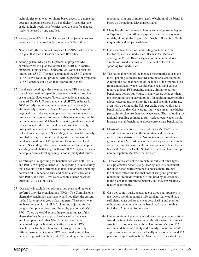technologies (e.g., web- or phone-based access to a nurse that does not supplant services by a beneficiary's provider) are useful to high-needs beneficiaries, they are benefits that are likely to be used by any enrollee.

- 32 Among general MA plans, 13 percent of projected enrollees were in a plan that used at least one benefit flexibility.
- 33 Nearly half (48 percent) of projected D–SNP enrollees were in a plan that used at least one benefit flexibility.
- 34 Among general MA plans, 13 percent of projected MA enrollees were in a plan that offered any SSBCI. In contrast, 30 percent of projected D–SNP enrollees were in a plan that offered any SSBCI. The most common of the SSBCI among D–SNPs was food and produce, with 22 percent of projected D–SNP enrollees in a plan that offered this benefit.
- 35 Local area spending is the mean per capita FFS spending in each area; national spending represents national service use at standardized wages. To estimate national spending, we used CMS's U.S. per capita cost (USPCC) estimate for 2020 and adjusted this number to standardize prices (i.e., eliminate adjustments made to FFS payments by hospital wage indexes and geographic practice cost indexes) and to remove extra payments to hospitals that are carved out of the current county-level MA benchmarks (i.e., graduate medical education and indirect medical education). Alternatively, policymakers could define national spending as the median of local area per capita FFS spending, which would similarly establish a single national spending estimate that would be blended with local FFS spending. Using median local area FFS spending rather than the national mean per capita spending would better align with overall MA payments when per capita county-level spending is not normally distributed.
- 36 To estimate FFS spending for beneficiaries with both Part A and Part B, we apply a factor to FFS spending in each county that accounts for the difference in risk-standardized spending between all FFS beneficiaries and beneficiaries enrolled in both Part A and Part B. We calculated this factor based on 2016 and 2017 claims data.
- 37 Our analysis excludes employer group plans and regional preferred provider organizations (PPOs). The Commission's alternative benchmark approach would not affect the current method for employer group plan payment. These payments are based on the bids of all MA plans and adjusted for the weight of employer group enrollment by plan type (HMO, PPO). Thus, we would expect the payment impact of this alternative benchmark approach to be similar between employer plans and other MA plans. An alternative benchmark approach would not affect regional PPOs. Benchmarks for these plans are set through an entirely different structure. Regional PPO benchmarks are a blend between regional PPO bids and FFS spending within a region

(encompassing one or more states). Weighting of the blend is based on the national MA market share.

- 38 Many health services researchers acknowledge some degree of "spillover" from different payers or alternative payment models, although the magnitude of such spillover is difficult to quantify and subject to debate.
- 39 One exception for a floor and ceiling could be in U.S. territories, such as Puerto Rico. Because the Medicare coverage in Puerto Rico is atypical of the mainland, our simulations used a ceiling of 115 percent of local FFS spending for Puerto Rico.
- 40 The national portion of the blended benchmarks adjusts the local spending estimates toward a predictable central point. Altering the national portion of the blend to incorporate local (nonstandardized) wages would create peaks and valleys relative to local FFS spending that are similar to current benchmark policy, but would, in many cases, be larger than the discontinuities in current policy. In addition, incorporating a local wage adjustment into the national spending estimate, even with a ceiling at the U.S. per capita cost, would cause benchmarks to rise. On average, high-wage areas have higher per capita service use than low-wage areas. Thus, allowing the national spending estimate to fully reflect local wages would increase overall benchmarks above current base benchmarks.
- 41 Metropolitan counties are grouped into a MedPAC market area if they are located in the same state and the same metropolitan statistical area. Nonmetropolitan counties are grouped into a MedPAC market area if they are located in the same state and the same health service area as defined by the National Center for Health Statistics. States can have multiple nonmetropolitan MedPAC market areas.
- 42 These choices are not to diminish the value of other types of supplemental benefits (e.g., hearing aids, vision benefits) for those beneficiaries who need and use them. Rather, the choices reflect the fact that cost-sharing and premium reductions are made available to and used by all enrollees in the plans that offer these benefits, and they are relatively readily quantifiable.
- 43 On a per county basis, an average of three plan sponsors in the lowest spending quartile offered plans that would have sufficient rebate dollars to cover cost-sharing and premium reductions under an alternative benchmark structure that includes a 2 percent discount rate.
- 44 Our simulation of plan access indicates that plan competition would continue to be robust under the alternative benchmark structure. In conjunction with the Commission's prior MA recommendations on quality and risk adjustment, we would expect ample opportunities for locally or regionally based MA plans to compete with national MA plans. To the extent that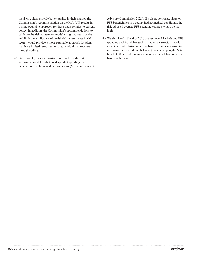local MA plans provide better quality in their market, the Commission's recommendation on the MA–VIP results in a more equitable approach for these plans relative to current policy. In addition, the Commission's recommendations to calibrate the risk adjustment model using two years of data and limit the application of health risk assessments in risk scores would provide a more equitable approach for plans that have limited resources to capture additional revenue through coding.

45 For example, the Commission has found that the risk adjustment model tends to underpredict spending for beneficiaries with no medical conditions (Medicare Payment Advisory Commission 2020). If a disproportionate share of FFS beneficiaries in a county had no medical conditions, the risk-adjusted average FFS spending estimate would be too high.

46 We simulated a blend of 2020 county-level MA bids and FFS spending and found that such a benchmark structure would save 5 percent relative to current base benchmarks (assuming no change in plan bidding behavior). When capping the MA blend at 50 percent, savings were 4 percent relative to current base benchmarks.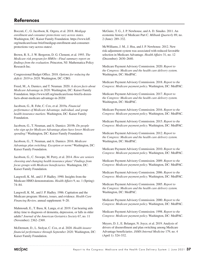# **References**

Boccuti, C., G. Jacobson, K. Orgera, et al. 2018. *Medigap enrollment and consumer protections vary across states.*  Washington, DC: Kaiser Family Foundation. https://www.kff. org/medicare/issue-brief/medigap-enrollment-and-consumerprotections-vary-across-states/.

Brown, R. S., J. W. Bergeron, D. G. Clement, et al. 1993. *The Medicare risk program for HMOs—Final summary report on findings from the evaluation*. Princeton, NJ: Mathematica Policy Research Inc.

Congressional Budget Office. 2018. *Options for reducing the deficit: 2019 to 2028.* Washington, DC: CBO.

Freed, M., A. Damico, and T. Neuman. 2020. *A dozen facts about Medicare Advantage in 2020.* Washington, DC: Kaiser Family Foundation. https://www.kff.org/medicare/issue-brief/a-dozenfacts-about-medicare-advantage-in-2020/.

Jacobson, G., R. Fehr, C. Cox, et al. 2019a. *Financial performance of Medicare Advantage, individual, and group health insurance markets*. Washington, DC: Kaiser Family Foundation.

Jacobson, G., T. Neuman, and A. Damico. 2019b. *Do people who sign up for Medicare Advantage plans have lower Medicare spending?* Washington, DC: Kaiser Family Foundation.

Jacobson, G., T. Neuman, and A. Damico. 2016. *Medicare Advantage plan switching: Exception or norm?* Washington, DC: Kaiser Family Foundation.

Jacobson, G., C. Swoope, M. Perry, et al. 2014. *How are seniors choosing and changing health insurance plans? Findings from focus groups with Medicare beneficiaries.* Washington, DC: Kaiser Family Foundation.

Langwell, K. M., and J. P. Hadley. 1990. Insights from the Medicare HMO demonstrations. *Health Affairs* 9, no. 1 (Spring): 74–84.

Langwell, K. M., and J. P. Hadley. 1986. Capitation and the Medicare program: History, issues, and evidence. *Health Care Financing Review,* annual supplement: 9–20.

Mahmoudi, E., T. Basu, K. Langa, et al. 2019. Can hearing aids delay time to diagnosis of dementia, depression, or falls in older adults? *Journal of the American Geriatrics Society* 67, no. 11 (November): 2362–2369.

McDermott, D., L. Stolyar, C. Cox, et al. 2020. *Health insurer financial performance through September 2020.* Washington, DC: Kaiser Family Foundation.

McGuire, T. G., J. P. Newhouse, and A. D. Sinaiko. 2011. An economic history of Medicare Part C. *Milbank Quarterly* 89, no. 2 (June): 289–332.

McWilliams, J. M., J. Hsu, and J. P. Newhouse. 2012. New risk-adjustment system was associated with reduced favorable selection in Medicare Advantage. *Health Affairs* 31, no. 12 (December): 2630–2640.

Medicare Payment Advisory Commission. 2020. *Report to the Congress: Medicare and the health care delivery system.* Washington, DC: MedPAC.

Medicare Payment Advisory Commission. 2018. *Report to the Congress: Medicare payment policy.* Washington, DC: MedPAC.

Medicare Payment Advisory Commission. 2017. *Report to the Congress: Medicare and the health care delivery system.* Washington, DC: MedPAC.

Medicare Payment Advisory Commission. 2016. *Report to the Congress: Medicare payment policy.* Washington, DC: MedPAC.

Medicare Payment Advisory Commission. 2015. *Report to the Congress: Medicare payment policy.* Washington, DC: MedPAC.

Medicare Payment Advisory Commission. 2012. *Report to the Congress: Medicare and the health care delivery system.* Washington, DC: MedPAC.

Medicare Payment Advisory Commission. 2010. *Report to the Congress: Medicare payment policy.* Washington, DC: MedPAC.

Medicare Payment Advisory Commission. 2009. *Report to the Congress: Medicare payment policy.* Washington, DC: MedPAC.

Medicare Payment Advisory Commission. 2006. *Report to the Congress: Medicare payment policy.* Washington, DC: MedPAC.

Medicare Payment Advisory Commission. 2005. *Report to the Congress: Medicare and the health care delivery system.*  Washington, DC: MedPAC.

Medicare Payment Advisory Commission. 2000. *Report to the Congress: Medicare payment policy.* Washington, DC: MedPAC.

Medicare Payment Advisory Commission. 1998. *Report to the Congress: Medicare payment policy.* Washington, DC: MedPAC.

Meyers, D. J., E. Belanger, N. Joyce, et al. 2019. Analysis of drivers of disenrollment and plan switching among Medicare Advantage beneficiaries. *JAMA Internal Medicine* 179, no. 4 (April 1): 524–532.